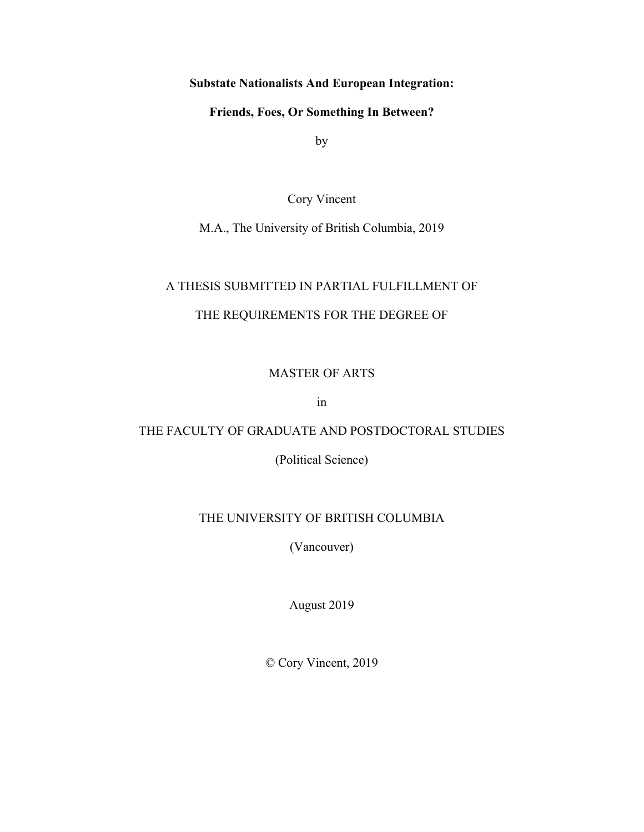## **Substate Nationalists And European Integration:**

**Friends, Foes, Or Something In Between?**

by

Cory Vincent

M.A., The University of British Columbia, 2019

## A THESIS SUBMITTED IN PARTIAL FULFILLMENT OF

# THE REQUIREMENTS FOR THE DEGREE OF

## MASTER OF ARTS

in

## THE FACULTY OF GRADUATE AND POSTDOCTORAL STUDIES

(Political Science)

## THE UNIVERSITY OF BRITISH COLUMBIA

(Vancouver)

August 2019

© Cory Vincent, 2019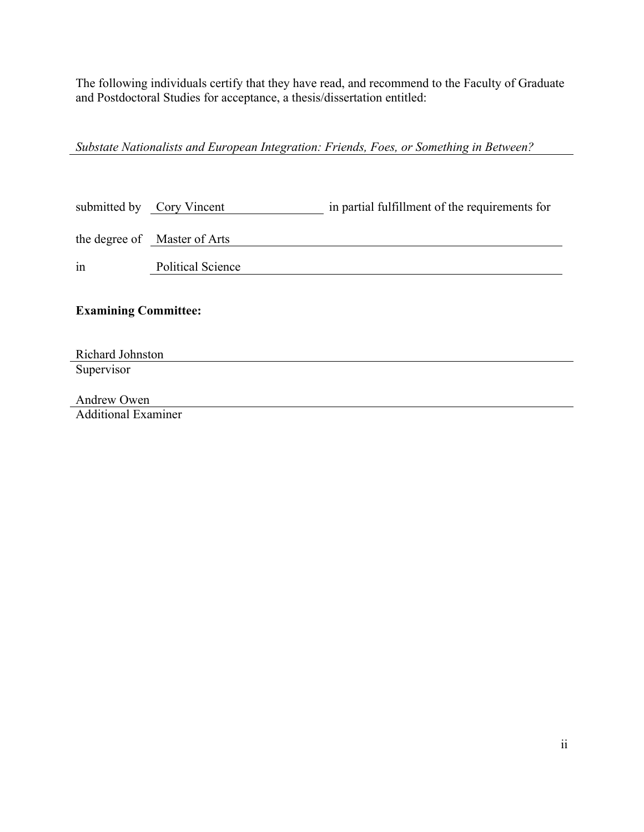The following individuals certify that they have read, and recommend to the Faculty of Graduate and Postdoctoral Studies for acceptance, a thesis/dissertation entitled:

*Substate Nationalists and European Integration: Friends, Foes, or Something in Between?*

|                             | submitted by Cory Vincent    | in partial fulfillment of the requirements for |
|-----------------------------|------------------------------|------------------------------------------------|
|                             | the degree of Master of Arts |                                                |
| in                          | <b>Political Science</b>     |                                                |
| <b>Examining Committee:</b> |                              |                                                |
| Richard Johnston            |                              |                                                |
| Supervisor                  |                              |                                                |
| Andrew Owen                 |                              |                                                |

Additional Examiner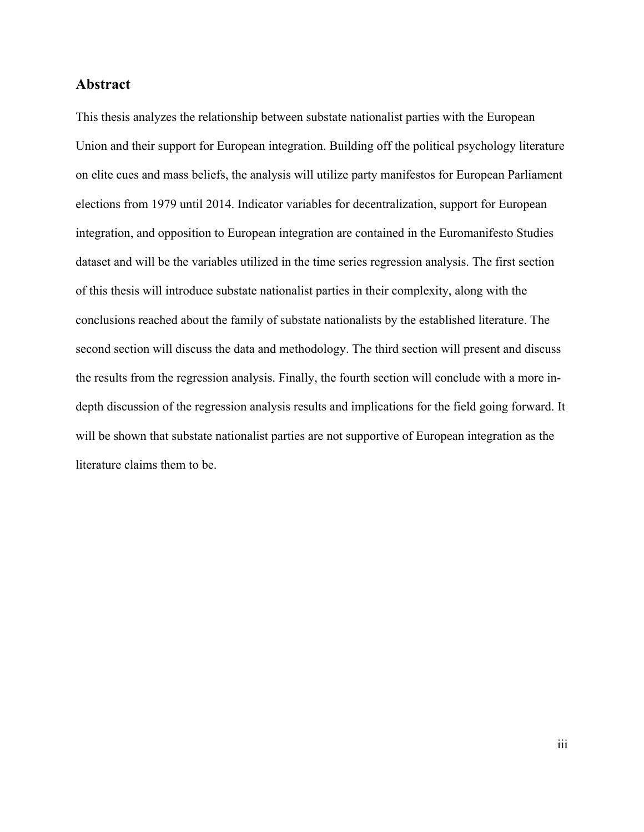#### **Abstract**

This thesis analyzes the relationship between substate nationalist parties with the European Union and their support for European integration. Building off the political psychology literature on elite cues and mass beliefs, the analysis will utilize party manifestos for European Parliament elections from 1979 until 2014. Indicator variables for decentralization, support for European integration, and opposition to European integration are contained in the Euromanifesto Studies dataset and will be the variables utilized in the time series regression analysis. The first section of this thesis will introduce substate nationalist parties in their complexity, along with the conclusions reached about the family of substate nationalists by the established literature. The second section will discuss the data and methodology. The third section will present and discuss the results from the regression analysis. Finally, the fourth section will conclude with a more indepth discussion of the regression analysis results and implications for the field going forward. It will be shown that substate nationalist parties are not supportive of European integration as the literature claims them to be.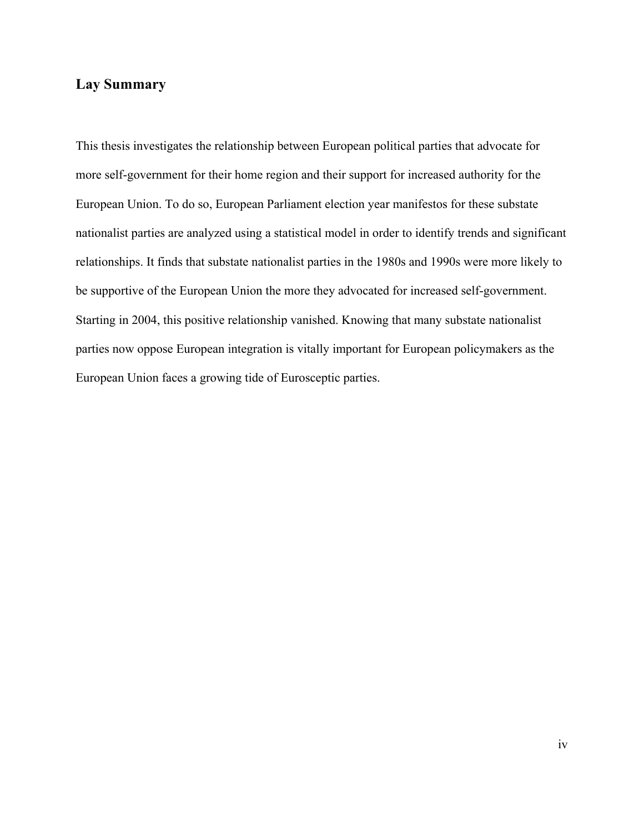# **Lay Summary**

This thesis investigates the relationship between European political parties that advocate for more self-government for their home region and their support for increased authority for the European Union. To do so, European Parliament election year manifestos for these substate nationalist parties are analyzed using a statistical model in order to identify trends and significant relationships. It finds that substate nationalist parties in the 1980s and 1990s were more likely to be supportive of the European Union the more they advocated for increased self-government. Starting in 2004, this positive relationship vanished. Knowing that many substate nationalist parties now oppose European integration is vitally important for European policymakers as the European Union faces a growing tide of Eurosceptic parties.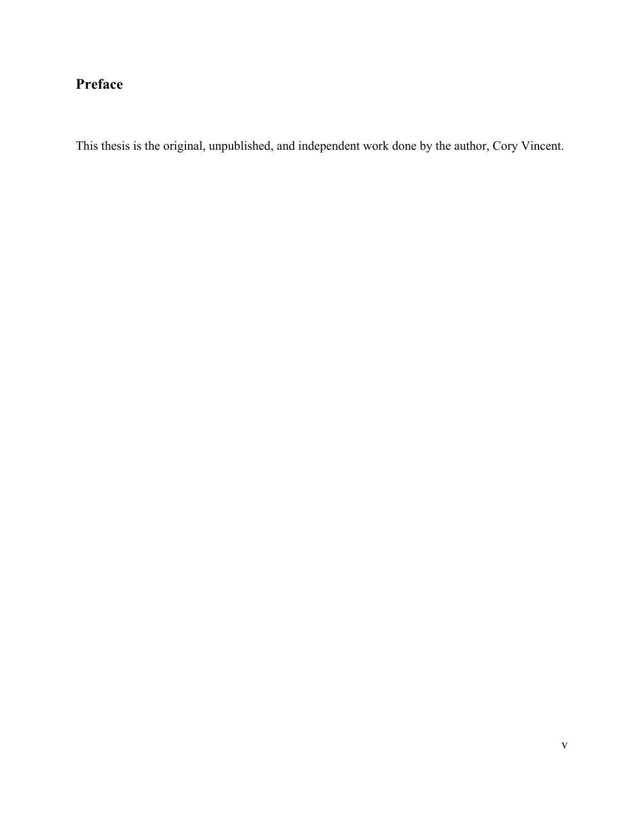# **Preface**

This thesis is the original, unpublished, and independent work done by the author, Cory Vincent.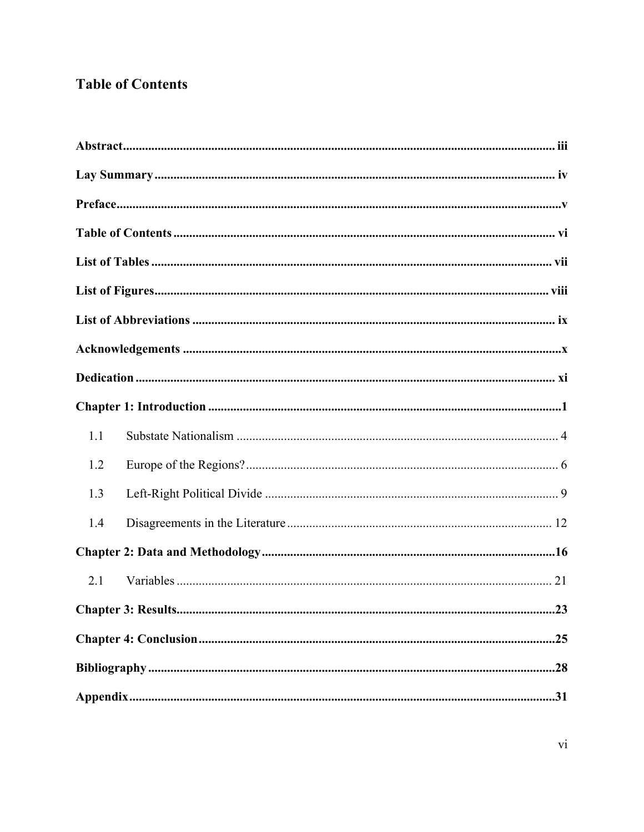# **Table of Contents**

| 1.1 |
|-----|
| 1.2 |
| 1.3 |
| 1.4 |
|     |
| 2.1 |
|     |
|     |
|     |
|     |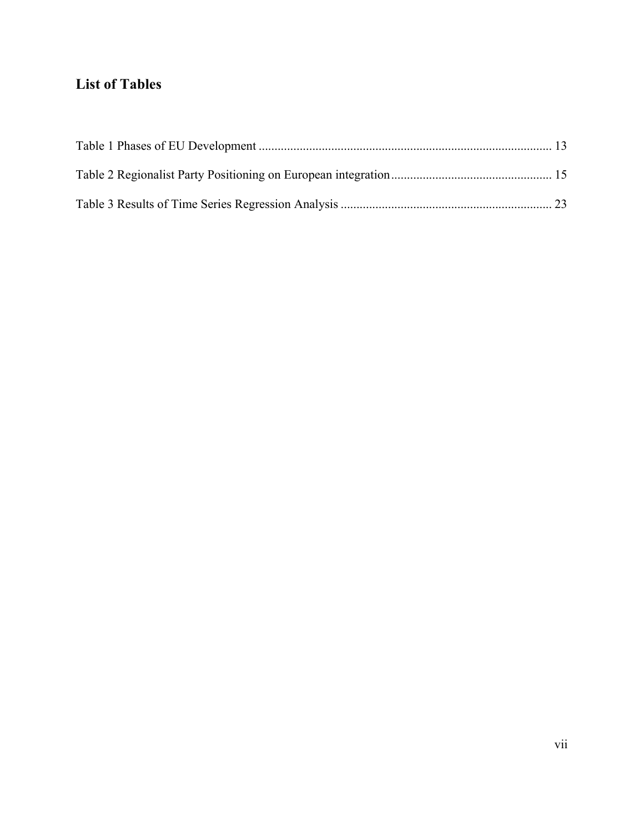# **List of Tables**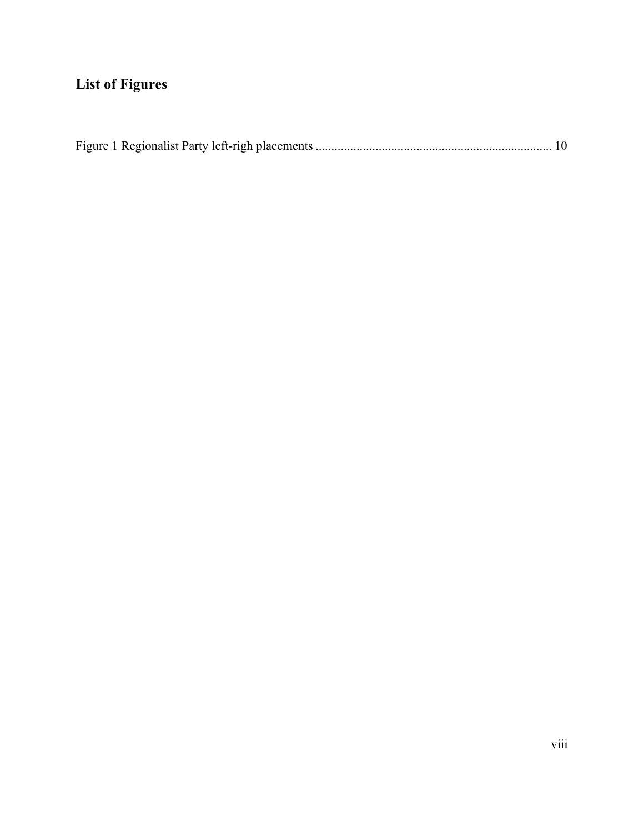# **List of Figures**

|--|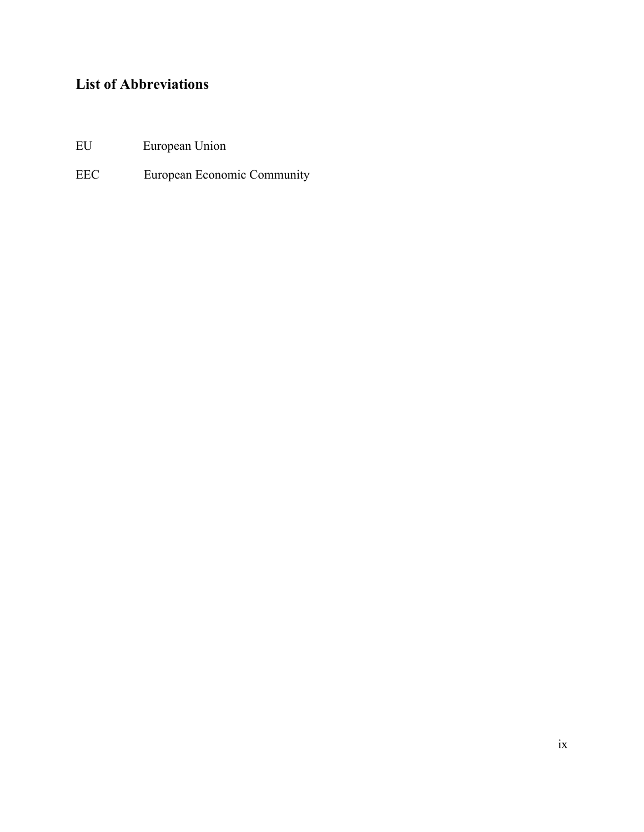# **List of Abbreviations**

- EU European Union
- EEC European Economic Community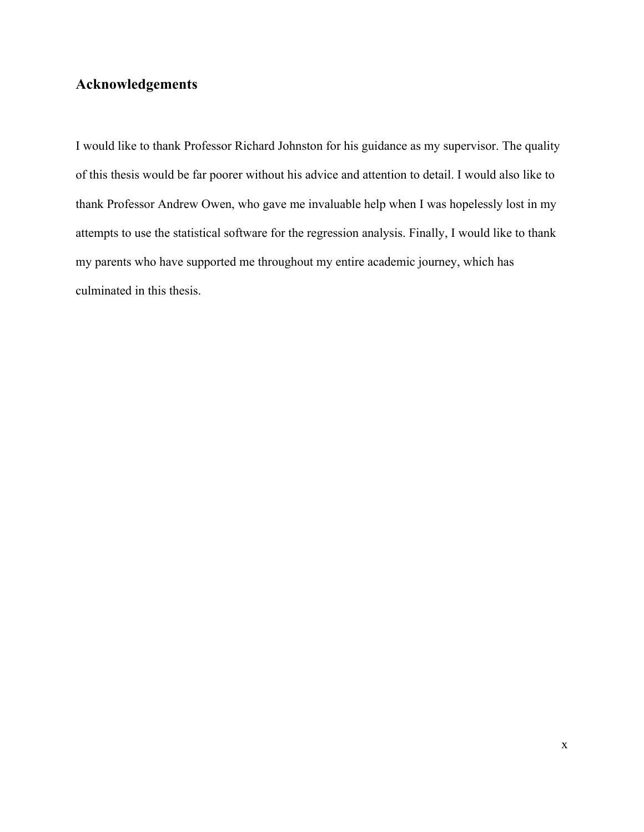# **Acknowledgements**

I would like to thank Professor Richard Johnston for his guidance as my supervisor. The quality of this thesis would be far poorer without his advice and attention to detail. I would also like to thank Professor Andrew Owen, who gave me invaluable help when I was hopelessly lost in my attempts to use the statistical software for the regression analysis. Finally, I would like to thank my parents who have supported me throughout my entire academic journey, which has culminated in this thesis.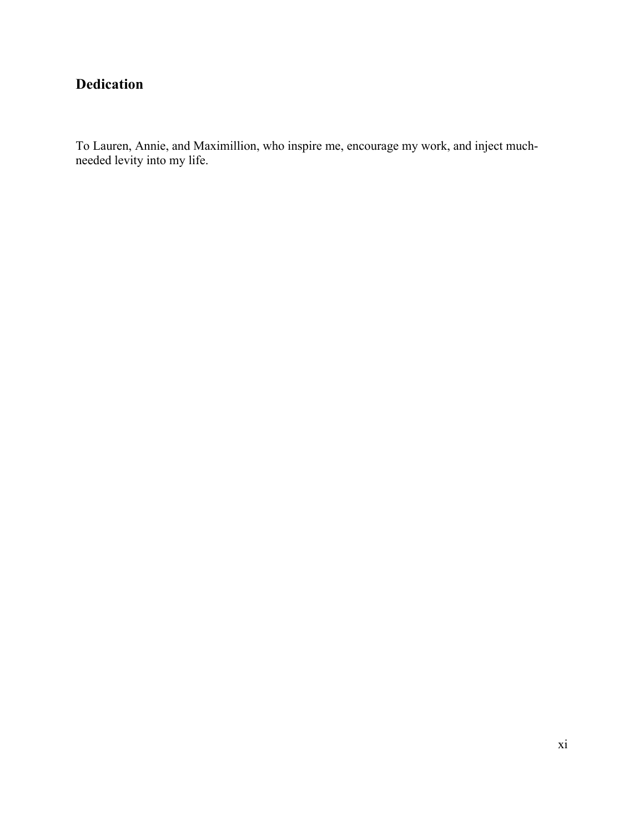# **Dedication**

To Lauren, Annie, and Maximillion, who inspire me, encourage my work, and inject muchneeded levity into my life.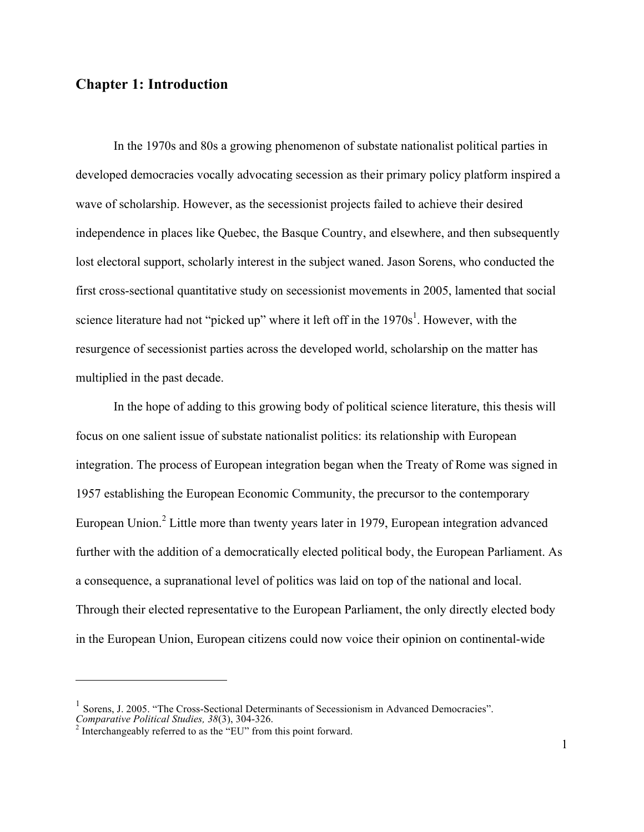# **Chapter 1: Introduction**

In the 1970s and 80s a growing phenomenon of substate nationalist political parties in developed democracies vocally advocating secession as their primary policy platform inspired a wave of scholarship. However, as the secessionist projects failed to achieve their desired independence in places like Quebec, the Basque Country, and elsewhere, and then subsequently lost electoral support, scholarly interest in the subject waned. Jason Sorens, who conducted the first cross-sectional quantitative study on secessionist movements in 2005, lamented that social science literature had not "picked up" where it left off in the  $1970s<sup>1</sup>$ . However, with the resurgence of secessionist parties across the developed world, scholarship on the matter has multiplied in the past decade.

In the hope of adding to this growing body of political science literature, this thesis will focus on one salient issue of substate nationalist politics: its relationship with European integration. The process of European integration began when the Treaty of Rome was signed in 1957 establishing the European Economic Community, the precursor to the contemporary European Union.<sup>2</sup> Little more than twenty years later in 1979, European integration advanced further with the addition of a democratically elected political body, the European Parliament. As a consequence, a supranational level of politics was laid on top of the national and local. Through their elected representative to the European Parliament, the only directly elected body in the European Union, European citizens could now voice their opinion on continental-wide

<sup>&</sup>lt;sup>1</sup> Sorens, J. 2005. "The Cross-Sectional Determinants of Secessionism in Advanced Democracies". *Comparative Political Studies, 38*(3), 304-326. <sup>2</sup> Interchangeably referred to as the "EU" from this point forward.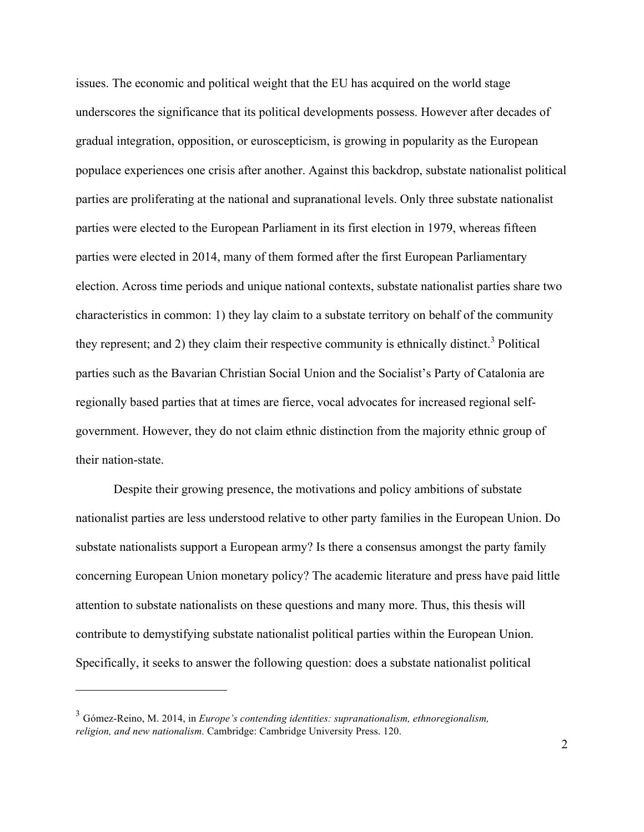issues. The economic and political weight that the EU has acquired on the world stage underscores the significance that its political developments possess. However after decades of gradual integration, opposition, or euroscepticism, is growing in popularity as the European populace experiences one crisis after another. Against this backdrop, substate nationalist political parties are proliferating at the national and supranational levels. Only three substate nationalist parties were elected to the European Parliament in its first election in 1979, whereas fifteen parties were elected in 2014, many of them formed after the first European Parliamentary election. Across time periods and unique national contexts, substate nationalist parties share two characteristics in common: 1) they lay claim to a substate territory on behalf of the community they represent; and 2) they claim their respective community is ethnically distinct.<sup>3</sup> Political parties such as the Bavarian Christian Social Union and the Socialist's Party of Catalonia are regionally based parties that at times are fierce, vocal advocates for increased regional selfgovernment. However, they do not claim ethnic distinction from the majority ethnic group of their nation-state.

Despite their growing presence, the motivations and policy ambitions of substate nationalist parties are less understood relative to other party families in the European Union. Do substate nationalists support a European army? Is there a consensus amongst the party family concerning European Union monetary policy? The academic literature and press have paid little attention to substate nationalists on these questions and many more. Thus, this thesis will contribute to demystifying substate nationalist political parties within the European Union. Specifically, it seeks to answer the following question: does a substate nationalist political

<sup>3</sup> Gómez-Reino, M. 2014, in *Europe's contending identities: supranationalism, ethnoregionalism, religion, and new nationalism.* Cambridge: Cambridge University Press. 120.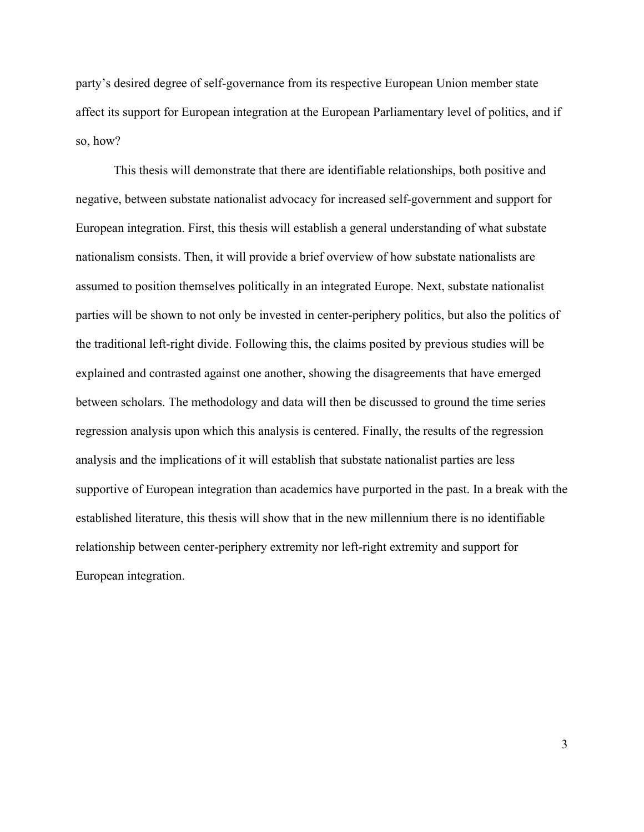party's desired degree of self-governance from its respective European Union member state affect its support for European integration at the European Parliamentary level of politics, and if so, how?

This thesis will demonstrate that there are identifiable relationships, both positive and negative, between substate nationalist advocacy for increased self-government and support for European integration. First, this thesis will establish a general understanding of what substate nationalism consists. Then, it will provide a brief overview of how substate nationalists are assumed to position themselves politically in an integrated Europe. Next, substate nationalist parties will be shown to not only be invested in center-periphery politics, but also the politics of the traditional left-right divide. Following this, the claims posited by previous studies will be explained and contrasted against one another, showing the disagreements that have emerged between scholars. The methodology and data will then be discussed to ground the time series regression analysis upon which this analysis is centered. Finally, the results of the regression analysis and the implications of it will establish that substate nationalist parties are less supportive of European integration than academics have purported in the past. In a break with the established literature, this thesis will show that in the new millennium there is no identifiable relationship between center-periphery extremity nor left-right extremity and support for European integration.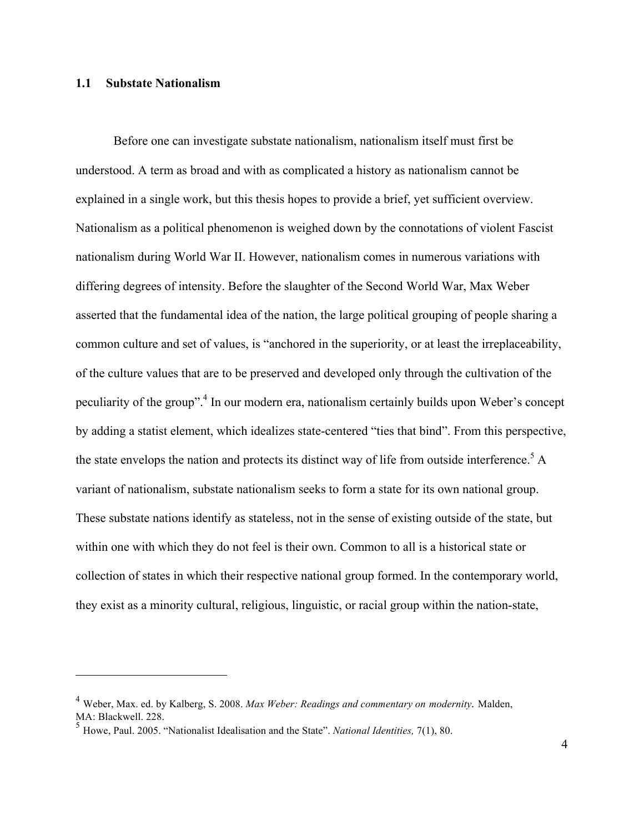#### **1.1 Substate Nationalism**

 $\overline{a}$ 

Before one can investigate substate nationalism, nationalism itself must first be understood. A term as broad and with as complicated a history as nationalism cannot be explained in a single work, but this thesis hopes to provide a brief, yet sufficient overview. Nationalism as a political phenomenon is weighed down by the connotations of violent Fascist nationalism during World War II. However, nationalism comes in numerous variations with differing degrees of intensity. Before the slaughter of the Second World War, Max Weber asserted that the fundamental idea of the nation, the large political grouping of people sharing a common culture and set of values, is "anchored in the superiority, or at least the irreplaceability, of the culture values that are to be preserved and developed only through the cultivation of the peculiarity of the group".4 In our modern era, nationalism certainly builds upon Weber's concept by adding a statist element, which idealizes state-centered "ties that bind". From this perspective, the state envelops the nation and protects its distinct way of life from outside interference.<sup>5</sup> A variant of nationalism, substate nationalism seeks to form a state for its own national group. These substate nations identify as stateless, not in the sense of existing outside of the state, but within one with which they do not feel is their own. Common to all is a historical state or collection of states in which their respective national group formed. In the contemporary world, they exist as a minority cultural, religious, linguistic, or racial group within the nation-state,

<sup>4</sup> Weber, Max. ed. by Kalberg, S. 2008. *Max Weber: Readings and commentary on modernity.* Malden, MA: Blackwell. 228.

<sup>5</sup> Howe, Paul. 2005. "Nationalist Idealisation and the State". *National Identities,* 7(1), 80.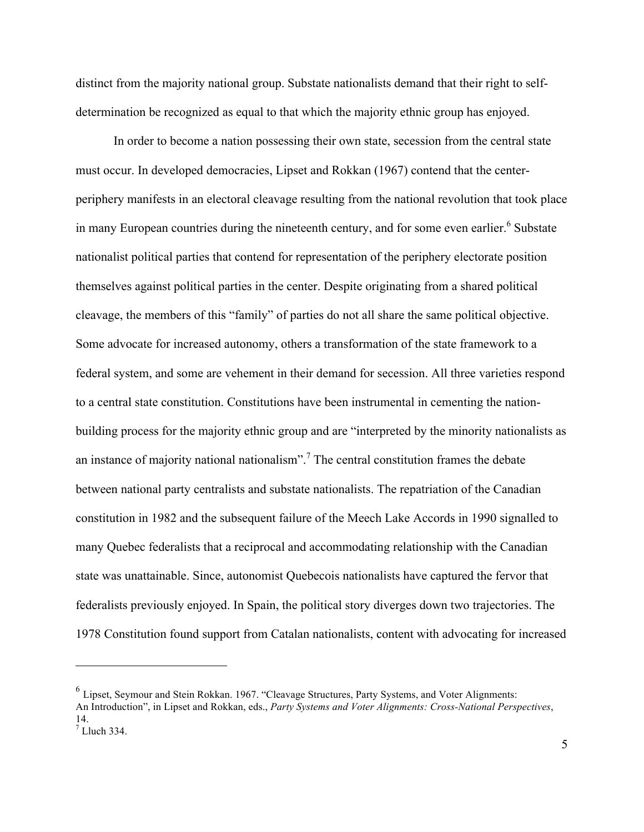distinct from the majority national group. Substate nationalists demand that their right to selfdetermination be recognized as equal to that which the majority ethnic group has enjoyed.

In order to become a nation possessing their own state, secession from the central state must occur. In developed democracies, Lipset and Rokkan (1967) contend that the centerperiphery manifests in an electoral cleavage resulting from the national revolution that took place in many European countries during the nineteenth century, and for some even earlier.<sup>6</sup> Substate nationalist political parties that contend for representation of the periphery electorate position themselves against political parties in the center. Despite originating from a shared political cleavage, the members of this "family" of parties do not all share the same political objective. Some advocate for increased autonomy, others a transformation of the state framework to a federal system, and some are vehement in their demand for secession. All three varieties respond to a central state constitution. Constitutions have been instrumental in cementing the nationbuilding process for the majority ethnic group and are "interpreted by the minority nationalists as an instance of majority national nationalism".<sup>7</sup> The central constitution frames the debate between national party centralists and substate nationalists. The repatriation of the Canadian constitution in 1982 and the subsequent failure of the Meech Lake Accords in 1990 signalled to many Quebec federalists that a reciprocal and accommodating relationship with the Canadian state was unattainable. Since, autonomist Quebecois nationalists have captured the fervor that federalists previously enjoyed. In Spain, the political story diverges down two trajectories. The 1978 Constitution found support from Catalan nationalists, content with advocating for increased

<sup>6</sup> Lipset, Seymour and Stein Rokkan. 1967. "Cleavage Structures, Party Systems, and Voter Alignments: An Introduction", in Lipset and Rokkan, eds., *Party Systems and Voter Alignments: Cross-National Perspectives*, 14.

 $<sup>7</sup>$  Lluch 334.</sup>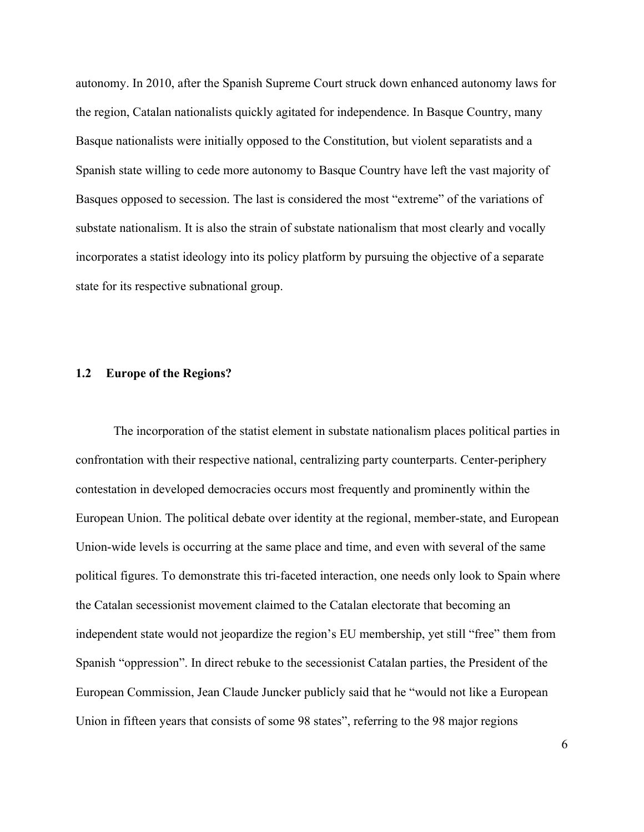autonomy. In 2010, after the Spanish Supreme Court struck down enhanced autonomy laws for the region, Catalan nationalists quickly agitated for independence. In Basque Country, many Basque nationalists were initially opposed to the Constitution, but violent separatists and a Spanish state willing to cede more autonomy to Basque Country have left the vast majority of Basques opposed to secession. The last is considered the most "extreme" of the variations of substate nationalism. It is also the strain of substate nationalism that most clearly and vocally incorporates a statist ideology into its policy platform by pursuing the objective of a separate state for its respective subnational group.

#### **1.2 Europe of the Regions?**

The incorporation of the statist element in substate nationalism places political parties in confrontation with their respective national, centralizing party counterparts. Center-periphery contestation in developed democracies occurs most frequently and prominently within the European Union. The political debate over identity at the regional, member-state, and European Union-wide levels is occurring at the same place and time, and even with several of the same political figures. To demonstrate this tri-faceted interaction, one needs only look to Spain where the Catalan secessionist movement claimed to the Catalan electorate that becoming an independent state would not jeopardize the region's EU membership, yet still "free" them from Spanish "oppression". In direct rebuke to the secessionist Catalan parties, the President of the European Commission, Jean Claude Juncker publicly said that he "would not like a European Union in fifteen years that consists of some 98 states", referring to the 98 major regions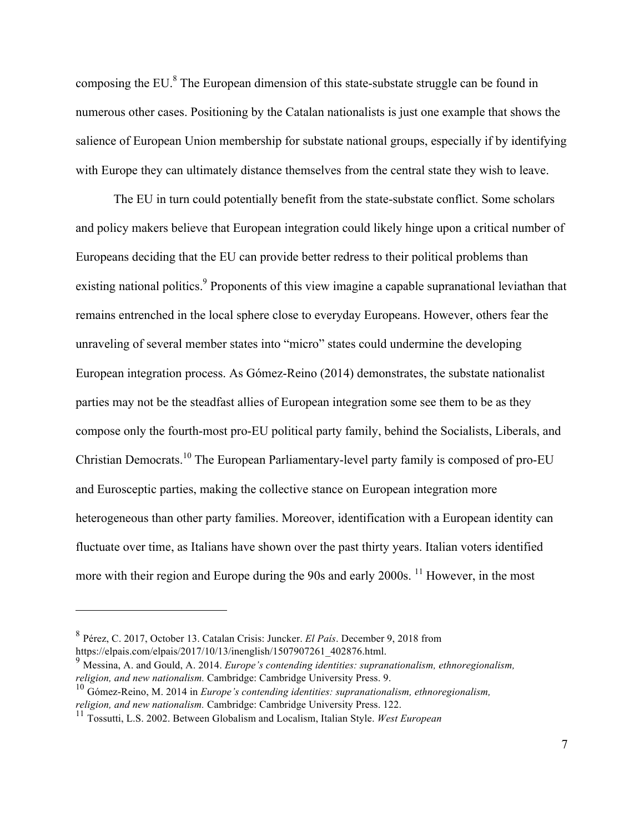composing the EU.<sup>8</sup> The European dimension of this state-substate struggle can be found in numerous other cases. Positioning by the Catalan nationalists is just one example that shows the salience of European Union membership for substate national groups, especially if by identifying with Europe they can ultimately distance themselves from the central state they wish to leave.

The EU in turn could potentially benefit from the state-substate conflict. Some scholars and policy makers believe that European integration could likely hinge upon a critical number of Europeans deciding that the EU can provide better redress to their political problems than existing national politics.<sup>9</sup> Proponents of this view imagine a capable supranational leviathan that remains entrenched in the local sphere close to everyday Europeans. However, others fear the unraveling of several member states into "micro" states could undermine the developing European integration process. As Gómez-Reino (2014) demonstrates, the substate nationalist parties may not be the steadfast allies of European integration some see them to be as they compose only the fourth-most pro-EU political party family, behind the Socialists, Liberals, and Christian Democrats.<sup>10</sup> The European Parliamentary-level party family is composed of pro-EU and Eurosceptic parties, making the collective stance on European integration more heterogeneous than other party families. Moreover, identification with a European identity can fluctuate over time, as Italians have shown over the past thirty years. Italian voters identified more with their region and Europe during the 90s and early 2000s. <sup>11</sup> However, in the most

<sup>8</sup> Pérez, C. 2017, October 13. Catalan Crisis: Juncker. *El País*. December 9, 2018 from https://elpais.com/elpais/2017/10/13/inenglish/1507907261\_402876.html.

<sup>9</sup> Messina, A. and Gould, A. 2014. *Europe's contending identities: supranationalism, ethnoregionalism, religion, and new nationalism.* Cambridge: Cambridge University Press. 9.

<sup>&</sup>lt;sup>10</sup> Gómez-Reino, M. 2014 in *Europe's contending identities: supranationalism, ethnoregionalism, religion, and new nationalism. Cambridge: Cambridge University Press. 122.* 

<sup>&</sup>lt;sup>11</sup> Tossutti, L.S. 2002. Between Globalism and Localism, Italian Style. *West European*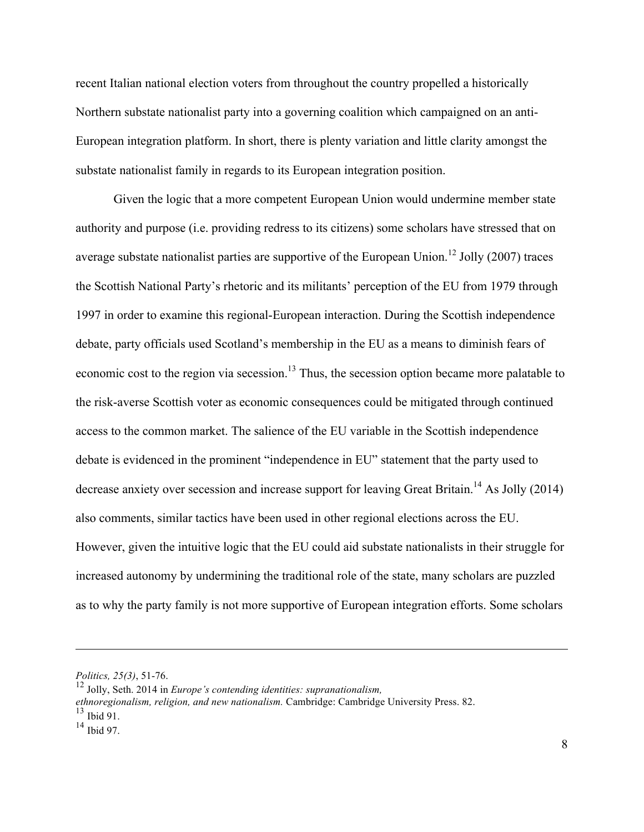recent Italian national election voters from throughout the country propelled a historically Northern substate nationalist party into a governing coalition which campaigned on an anti-European integration platform. In short, there is plenty variation and little clarity amongst the substate nationalist family in regards to its European integration position.

Given the logic that a more competent European Union would undermine member state authority and purpose (i.e. providing redress to its citizens) some scholars have stressed that on average substate nationalist parties are supportive of the European Union.<sup>12</sup> Jolly (2007) traces the Scottish National Party's rhetoric and its militants' perception of the EU from 1979 through 1997 in order to examine this regional-European interaction. During the Scottish independence debate, party officials used Scotland's membership in the EU as a means to diminish fears of economic cost to the region via secession.<sup>13</sup> Thus, the secession option became more palatable to the risk-averse Scottish voter as economic consequences could be mitigated through continued access to the common market. The salience of the EU variable in the Scottish independence debate is evidenced in the prominent "independence in EU" statement that the party used to decrease anxiety over secession and increase support for leaving Great Britain.<sup>14</sup> As Jolly (2014) also comments, similar tactics have been used in other regional elections across the EU. However, given the intuitive logic that the EU could aid substate nationalists in their struggle for increased autonomy by undermining the traditional role of the state, many scholars are puzzled as to why the party family is not more supportive of European integration efforts. Some scholars

*ethnoregionalism, religion, and new nationalism.* Cambridge: Cambridge University Press. 82.  $13$  Ibid 91.

*Politics, 25(3)*, 51-76.

<sup>12</sup> Jolly, Seth. 2014 in *Europe's contending identities: supranationalism,* 

 $14 \overline{\text{Ibid 97}}$ .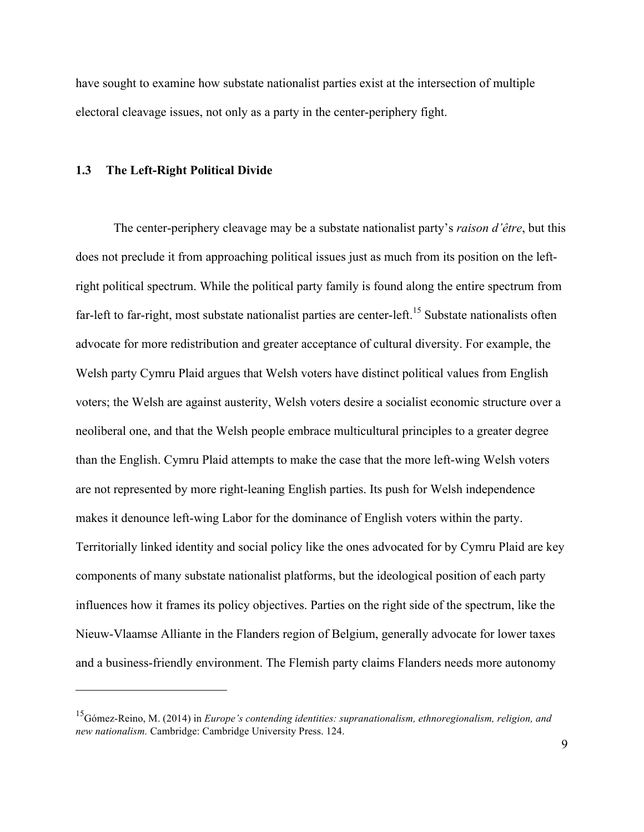have sought to examine how substate nationalist parties exist at the intersection of multiple electoral cleavage issues, not only as a party in the center-periphery fight.

#### **1.3 The Left-Right Political Divide**

 $\overline{a}$ 

The center-periphery cleavage may be a substate nationalist party's *raison d'être*, but this does not preclude it from approaching political issues just as much from its position on the leftright political spectrum. While the political party family is found along the entire spectrum from far-left to far-right, most substate nationalist parties are center-left.<sup>15</sup> Substate nationalists often advocate for more redistribution and greater acceptance of cultural diversity. For example, the Welsh party Cymru Plaid argues that Welsh voters have distinct political values from English voters; the Welsh are against austerity, Welsh voters desire a socialist economic structure over a neoliberal one, and that the Welsh people embrace multicultural principles to a greater degree than the English. Cymru Plaid attempts to make the case that the more left-wing Welsh voters are not represented by more right-leaning English parties. Its push for Welsh independence makes it denounce left-wing Labor for the dominance of English voters within the party. Territorially linked identity and social policy like the ones advocated for by Cymru Plaid are key components of many substate nationalist platforms, but the ideological position of each party influences how it frames its policy objectives. Parties on the right side of the spectrum, like the Nieuw-Vlaamse Alliante in the Flanders region of Belgium, generally advocate for lower taxes and a business-friendly environment. The Flemish party claims Flanders needs more autonomy

<sup>15</sup>Gómez-Reino, M. (2014) in *Europe's contending identities: supranationalism, ethnoregionalism, religion, and new nationalism.* Cambridge: Cambridge University Press. 124.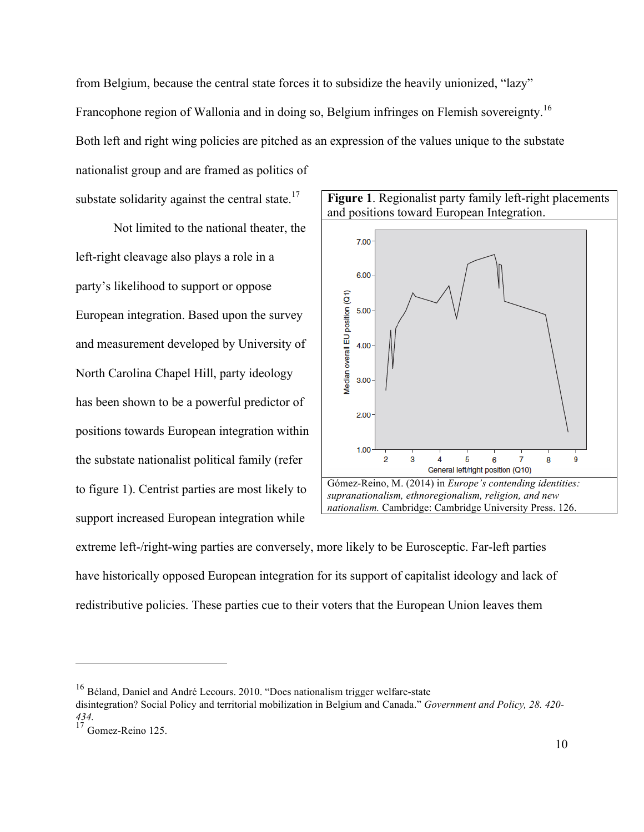from Belgium, because the central state forces it to subsidize the heavily unionized, "lazy" Francophone region of Wallonia and in doing so, Belgium infringes on Flemish sovereignty.<sup>16</sup> Both left and right wing policies are pitched as an expression of the values unique to the substate nationalist group and are framed as politics of

substate solidarity against the central state.<sup>17</sup>

Not limited to the national theater, the left-right cleavage also plays a role in a party's likelihood to support or oppose European integration. Based upon the survey and measurement developed by University of North Carolina Chapel Hill, party ideology has been shown to be a powerful predictor of positions towards European integration within the substate nationalist political family (refer to figure 1). Centrist parties are most likely to support increased European integration while





extreme left-/right-wing parties are conversely, more likely to be Eurosceptic. Far-left parties have historically opposed European integration for its support of capitalist ideology and lack of redistributive policies. These parties cue to their voters that the European Union leaves them

<sup>16</sup> Béland, Daniel and André Lecours. 2010. "Does nationalism trigger welfare-state

disintegration? Social Policy and territorial mobilization in Belgium and Canada." *Government and Policy, 28. 420- 434.*

<sup>&</sup>lt;sup>17</sup> Gomez-Reino 125.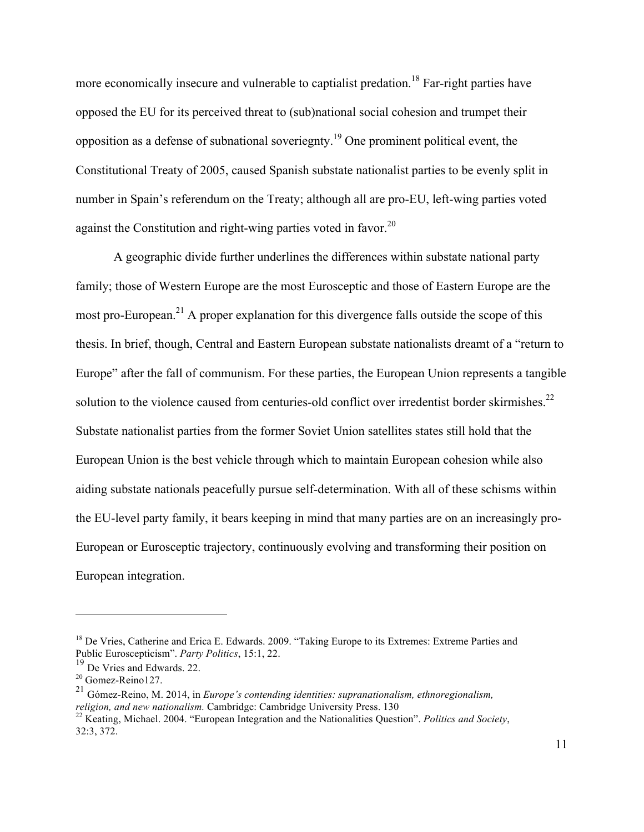more economically insecure and vulnerable to captialist predation.<sup>18</sup> Far-right parties have opposed the EU for its perceived threat to (sub)national social cohesion and trumpet their opposition as a defense of subnational soveriegnty.<sup>19</sup> One prominent political event, the Constitutional Treaty of 2005, caused Spanish substate nationalist parties to be evenly split in number in Spain's referendum on the Treaty; although all are pro-EU, left-wing parties voted against the Constitution and right-wing parties voted in favor.<sup>20</sup>

A geographic divide further underlines the differences within substate national party family; those of Western Europe are the most Eurosceptic and those of Eastern Europe are the most pro-European.<sup>21</sup> A proper explanation for this divergence falls outside the scope of this thesis. In brief, though, Central and Eastern European substate nationalists dreamt of a "return to Europe" after the fall of communism. For these parties, the European Union represents a tangible solution to the violence caused from centuries-old conflict over irredentist border skirmishes.<sup>22</sup> Substate nationalist parties from the former Soviet Union satellites states still hold that the European Union is the best vehicle through which to maintain European cohesion while also aiding substate nationals peacefully pursue self-determination. With all of these schisms within the EU-level party family, it bears keeping in mind that many parties are on an increasingly pro-European or Eurosceptic trajectory, continuously evolving and transforming their position on European integration.

<sup>&</sup>lt;sup>18</sup> De Vries, Catherine and Erica E. Edwards. 2009. "Taking Europe to its Extremes: Extreme Parties and Public Euroscepticism". *Party Politics*, 15:1, 22.

<sup>&</sup>lt;sup>19</sup> De Vries and Edwards. 22.<br><sup>20</sup> Gomez-Reino127.

<sup>&</sup>lt;sup>21</sup> Gómez-Reino, M. 2014, in *Europe's contending identities: supranationalism, ethnoregionalism, religion, and new nationalism. Cambridge: Cambridge University Press, 130* 

<sup>&</sup>lt;sup>22</sup> Keating, Michael. 2004. "European Integration and the Nationalities Question". *Politics and Society*, 32:3, 372.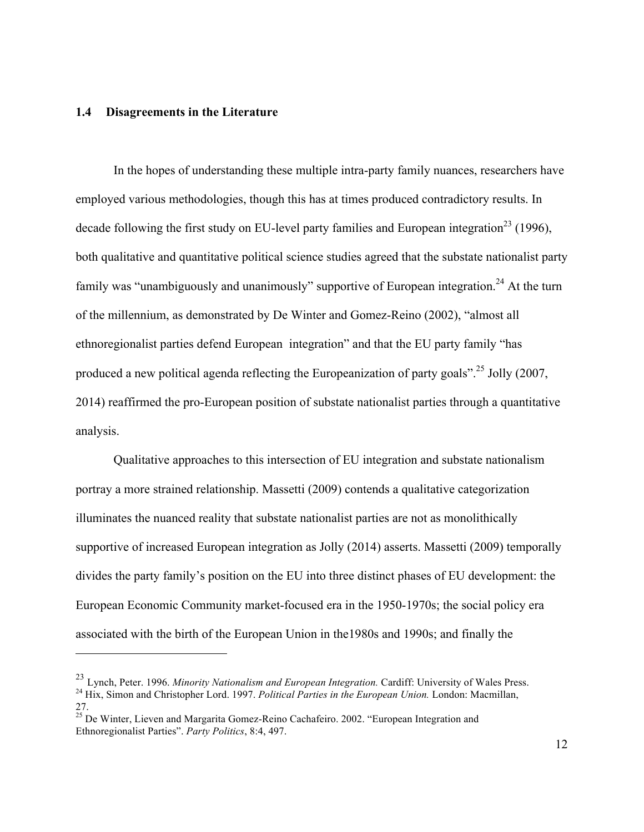#### **1.4 Disagreements in the Literature**

 $\overline{a}$ 

In the hopes of understanding these multiple intra-party family nuances, researchers have employed various methodologies, though this has at times produced contradictory results. In decade following the first study on EU-level party families and European integration<sup>23</sup> (1996), both qualitative and quantitative political science studies agreed that the substate nationalist party family was "unambiguously and unanimously" supportive of European integration.<sup>24</sup> At the turn of the millennium, as demonstrated by De Winter and Gomez-Reino (2002), "almost all ethnoregionalist parties defend European integration" and that the EU party family "has produced a new political agenda reflecting the Europeanization of party goals".<sup>25</sup> Jolly (2007, 2014) reaffirmed the pro-European position of substate nationalist parties through a quantitative analysis.

Qualitative approaches to this intersection of EU integration and substate nationalism portray a more strained relationship. Massetti (2009) contends a qualitative categorization illuminates the nuanced reality that substate nationalist parties are not as monolithically supportive of increased European integration as Jolly (2014) asserts. Massetti (2009) temporally divides the party family's position on the EU into three distinct phases of EU development: the European Economic Community market-focused era in the 1950-1970s; the social policy era associated with the birth of the European Union in the1980s and 1990s; and finally the

<sup>23</sup> Lynch, Peter. 1996. *Minority Nationalism and European Integration.* Cardiff: University of Wales Press. <sup>24</sup> Hix, Simon and Christopher Lord. 1997. *Political Parties in the European Union.* London: Macmillan, 27.

 $25$  De Winter, Lieven and Margarita Gomez-Reino Cachafeiro. 2002. "European Integration and Ethnoregionalist Parties". *Party Politics*, 8:4, 497.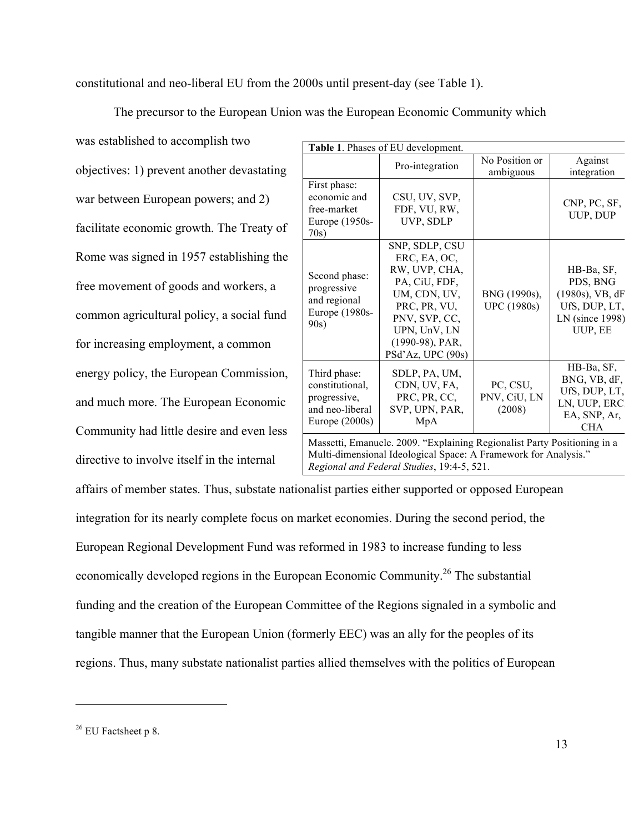constitutional and neo-liberal EU from the 2000s until present-day (see Table 1).

The precursor to the European Union was the European Economic Community which

was established to accomplish two objectives: 1) prevent another devastating war between European powers; and 2) facilitate economic growth. The Treaty of Rome was signed in 1957 establishing the free movement of goods and workers, a common agricultural policy, a social fund for increasing employment, a common energy policy, the European Commission, and much more. The European Economic Community had little desire and even less directive to involve itself in the internal

| Table 1. Phases of EU development.                                                                                                          |                                                                                                                                                                           |                                    |                                                                                             |  |
|---------------------------------------------------------------------------------------------------------------------------------------------|---------------------------------------------------------------------------------------------------------------------------------------------------------------------------|------------------------------------|---------------------------------------------------------------------------------------------|--|
|                                                                                                                                             | Pro-integration                                                                                                                                                           | No Position or<br>ambiguous        | Against<br>integration                                                                      |  |
| First phase:<br>economic and<br>free-market<br>Europe (1950s-<br>70s)                                                                       | CSU, UV, SVP,<br>FDF, VU, RW,<br>UVP, SDLP                                                                                                                                |                                    | CNP, PC, SF,<br>UUP, DUP                                                                    |  |
| Second phase:<br>progressive<br>and regional<br>Europe (1980s-<br>90s)                                                                      | SNP, SDLP, CSU<br>ERC, EA, OC,<br>RW, UVP, CHA,<br>PA, CiU, FDF,<br>UM, CDN, UV,<br>PRC, PR, VU,<br>PNV, SVP, CC,<br>UPN, UnV, LN<br>(1990-98), PAR,<br>PSd'Az, UPC (90s) | BNG (1990s),<br><b>UPC</b> (1980s) | HB-Ba, SF,<br>PDS, BNG<br>$(1980s)$ , VB, dF<br>UfS, DUP, LT,<br>LN (since 1998)<br>UUP, EE |  |
| Third phase:<br>constitutional,<br>progressive,<br>and neo-liberal<br>Europe $(2000s)$                                                      | SDLP, PA, UM,<br>CDN, UV, FA,<br>PRC, PR, CC,<br>SVP, UPN, PAR,<br>MpA                                                                                                    | PC, CSU,<br>PNV, CiU, LN<br>(2008) | HB-Ba, SF,<br>BNG, VB, dF,<br>UfS, DUP, LT,<br>LN, UUP, ERC<br>EA, SNP, Ar,<br><b>CHA</b>   |  |
| Massetti, Emanuele. 2009. "Explaining Regionalist Party Positioning in a<br>Multi-dimensional Ideological Space: A Framework for Analysis." |                                                                                                                                                                           |                                    |                                                                                             |  |

affairs of member states. Thus, substate nationalist parties either supported or opposed European integration for its nearly complete focus on market economies. During the second period, the European Regional Development Fund was reformed in 1983 to increase funding to less economically developed regions in the European Economic Community.26 The substantial funding and the creation of the European Committee of the Regions signaled in a symbolic and tangible manner that the European Union (formerly EEC) was an ally for the peoples of its *Regional and Federal Studies*, 19:4-5, 521.

regions. Thus, many substate nationalist parties allied themselves with the politics of European

 $26$  EU Factsheet p 8.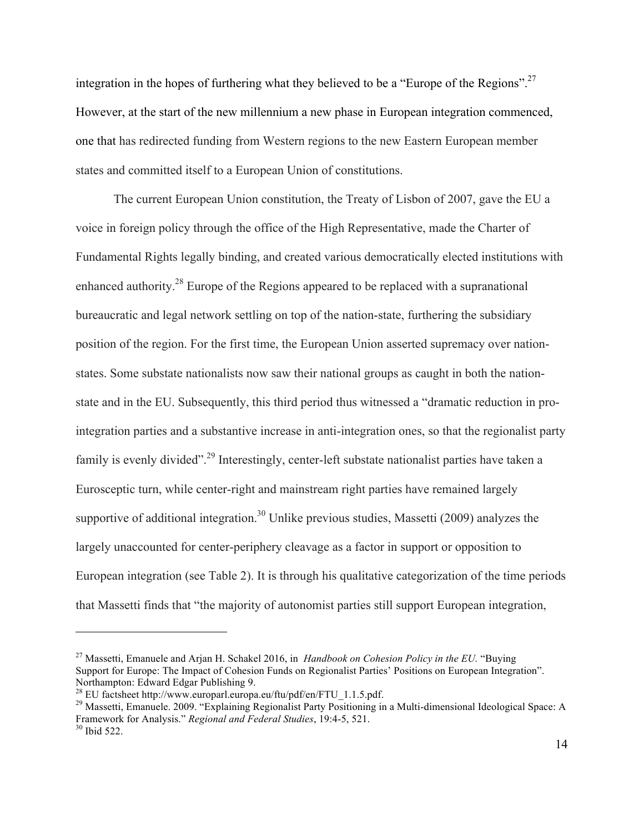integration in the hopes of furthering what they believed to be a "Europe of the Regions".27 However, at the start of the new millennium a new phase in European integration commenced, one that has redirected funding from Western regions to the new Eastern European member states and committed itself to a European Union of constitutions.

The current European Union constitution, the Treaty of Lisbon of 2007, gave the EU a voice in foreign policy through the office of the High Representative, made the Charter of Fundamental Rights legally binding, and created various democratically elected institutions with enhanced authority.<sup>28</sup> Europe of the Regions appeared to be replaced with a supranational bureaucratic and legal network settling on top of the nation-state, furthering the subsidiary position of the region. For the first time, the European Union asserted supremacy over nationstates. Some substate nationalists now saw their national groups as caught in both the nationstate and in the EU. Subsequently, this third period thus witnessed a "dramatic reduction in prointegration parties and a substantive increase in anti-integration ones, so that the regionalist party family is evenly divided"<sup>29</sup> Interestingly, center-left substate nationalist parties have taken a Eurosceptic turn, while center-right and mainstream right parties have remained largely supportive of additional integration.<sup>30</sup> Unlike previous studies, Massetti (2009) analyzes the largely unaccounted for center-periphery cleavage as a factor in support or opposition to European integration (see Table 2). It is through his qualitative categorization of the time periods that Massetti finds that "the majority of autonomist parties still support European integration,

<sup>27</sup> Massetti, Emanuele and Arjan H. Schakel 2016, in *Handbook on Cohesion Policy in the EU.* "Buying Support for Europe: The Impact of Cohesion Funds on Regionalist Parties' Positions on European Integration". Northampton: Edward Edgar Publishing 9.<br><sup>28</sup> EU factsheet http://www.europarl.europa.eu/ftu/pdf/en/FTU 1.1.5.pdf.

<sup>&</sup>lt;sup>29</sup> Massetti, Emanuele. 2009. "Explaining Regionalist Party Positioning in a Multi-dimensional Ideological Space: A Framework for Analysis." *Regional and Federal Studies*, 19:4-5, 521.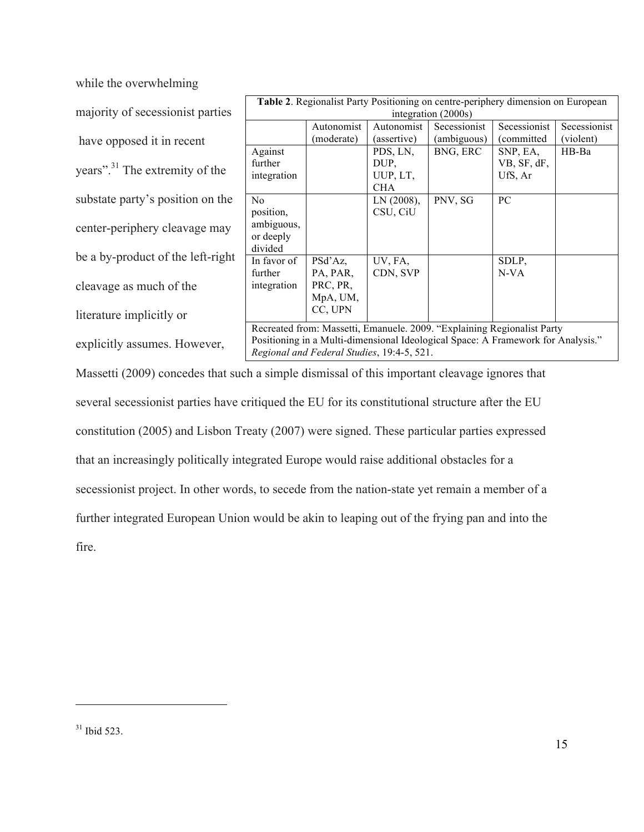while the overwhelming

majority of secessionist parties have opposed it in recent years". <sup>31</sup> The extremity of the substate party's position on the center-periphery cleavage may be a by-product of the left-right cleavage as much of the literature implicitly or

explicitly assumes. However,

| Table 2. Regionalist Party Positioning on centre-periphery dimension on European |            |             |                     |              |              |
|----------------------------------------------------------------------------------|------------|-------------|---------------------|--------------|--------------|
|                                                                                  |            |             | integration (2000s) |              |              |
|                                                                                  | Autonomist | Autonomist  | Secessionist        | Secessionist | Secessionist |
|                                                                                  | (moderate) | (assertive) | (ambiguous)         | (committed   | (violent)    |
| Against                                                                          |            | PDS, LN,    | BNG, ERC            | SNP, EA,     | HB-Ba        |
| further                                                                          |            | DUP,        |                     | VB, SF, dF,  |              |
| integration                                                                      |            | UUP, LT,    |                     | UfS, Ar      |              |
|                                                                                  |            | <b>CHA</b>  |                     |              |              |
| No                                                                               |            | LN(2008),   | PNV, SG             | PC           |              |
| position,                                                                        |            | CSU, CiU    |                     |              |              |
| ambiguous,                                                                       |            |             |                     |              |              |
| or deeply                                                                        |            |             |                     |              |              |
| divided                                                                          |            |             |                     |              |              |
| In favor of                                                                      | PSd'Az.    | UV, FA,     |                     | SDLP,        |              |
| further                                                                          | PA, PAR,   | CDN, SVP    |                     | $N-VA$       |              |
| integration                                                                      | PRC, PR,   |             |                     |              |              |
|                                                                                  | MpA, UM,   |             |                     |              |              |
|                                                                                  | CC, UPN    |             |                     |              |              |
|                                                                                  |            |             |                     |              |              |
| Recreated from: Massetti, Emanuele. 2009. "Explaining Regionalist Party          |            |             |                     |              |              |
| Positioning in a Multi-dimensional Ideological Space: A Framework for Analysis." |            |             |                     |              |              |
| Regional and Federal Studies, 19:4-5, 521.                                       |            |             |                     |              |              |

Massetti (2009) concedes that such a simple dismissal of this important cleavage ignores that several secessionist parties have critiqued the EU for its constitutional structure after the EU constitution (2005) and Lisbon Treaty (2007) were signed. These particular parties expressed that an increasingly politically integrated Europe would raise additional obstacles for a secessionist project. In other words, to secede from the nation-state yet remain a member of a further integrated European Union would be akin to leaping out of the frying pan and into the fire.

 $31$  Ibid 523.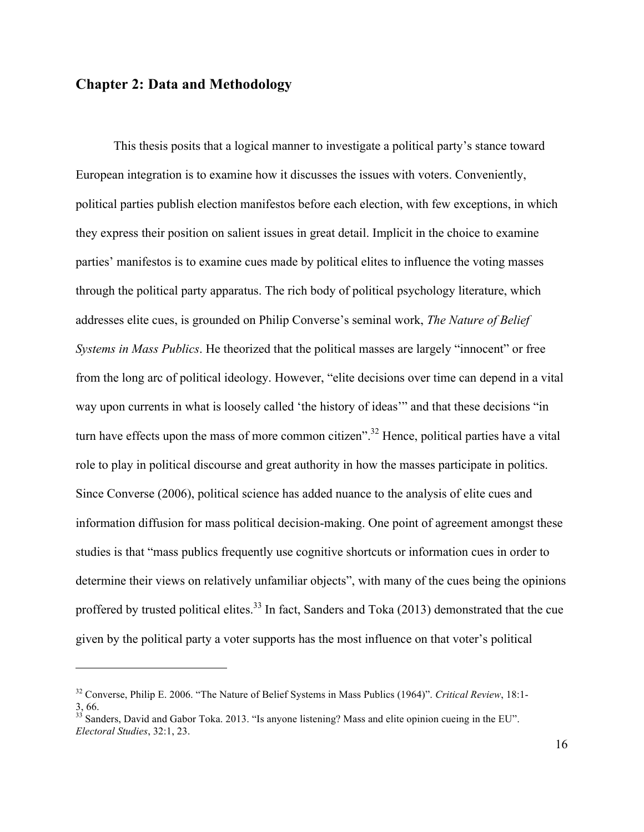### **Chapter 2: Data and Methodology**

 $\overline{a}$ 

This thesis posits that a logical manner to investigate a political party's stance toward European integration is to examine how it discusses the issues with voters. Conveniently, political parties publish election manifestos before each election, with few exceptions, in which they express their position on salient issues in great detail. Implicit in the choice to examine parties' manifestos is to examine cues made by political elites to influence the voting masses through the political party apparatus. The rich body of political psychology literature, which addresses elite cues, is grounded on Philip Converse's seminal work, *The Nature of Belief Systems in Mass Publics*. He theorized that the political masses are largely "innocent" or free from the long arc of political ideology. However, "elite decisions over time can depend in a vital way upon currents in what is loosely called 'the history of ideas'" and that these decisions "in turn have effects upon the mass of more common citizen".<sup>32</sup> Hence, political parties have a vital role to play in political discourse and great authority in how the masses participate in politics. Since Converse (2006), political science has added nuance to the analysis of elite cues and information diffusion for mass political decision-making. One point of agreement amongst these studies is that "mass publics frequently use cognitive shortcuts or information cues in order to determine their views on relatively unfamiliar objects", with many of the cues being the opinions proffered by trusted political elites.<sup>33</sup> In fact, Sanders and Toka  $(2013)$  demonstrated that the cue given by the political party a voter supports has the most influence on that voter's political

<sup>32</sup> Converse, Philip E. 2006. "The Nature of Belief Systems in Mass Publics (1964)". *Critical Review*, 18:1- 3, 66.

<sup>&</sup>lt;sup>33</sup> Sanders, David and Gabor Toka. 2013. "Is anyone listening? Mass and elite opinion cueing in the EU". *Electoral Studies*, 32:1, 23.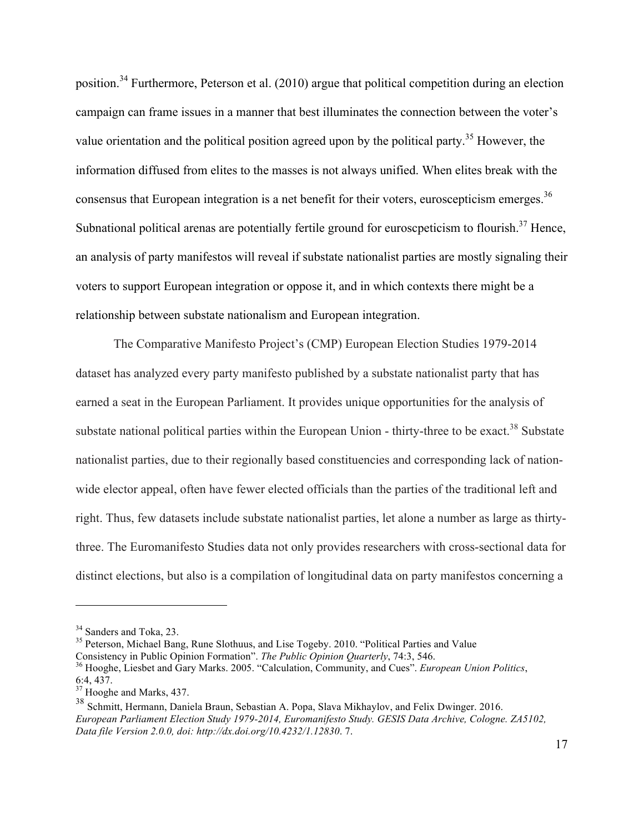position.<sup>34</sup> Furthermore, Peterson et al. (2010) argue that political competition during an election campaign can frame issues in a manner that best illuminates the connection between the voter's value orientation and the political position agreed upon by the political party.<sup>35</sup> However, the information diffused from elites to the masses is not always unified. When elites break with the consensus that European integration is a net benefit for their voters, euroscepticism emerges.<sup>36</sup> Subnational political arenas are potentially fertile ground for euroscpeticism to flourish.<sup>37</sup> Hence, an analysis of party manifestos will reveal if substate nationalist parties are mostly signaling their voters to support European integration or oppose it, and in which contexts there might be a relationship between substate nationalism and European integration.

The Comparative Manifesto Project's (CMP) European Election Studies 1979-2014 dataset has analyzed every party manifesto published by a substate nationalist party that has earned a seat in the European Parliament. It provides unique opportunities for the analysis of substate national political parties within the European Union - thirty-three to be exact.<sup>38</sup> Substate nationalist parties, due to their regionally based constituencies and corresponding lack of nationwide elector appeal, often have fewer elected officials than the parties of the traditional left and right. Thus, few datasets include substate nationalist parties, let alone a number as large as thirtythree. The Euromanifesto Studies data not only provides researchers with cross-sectional data for distinct elections, but also is a compilation of longitudinal data on party manifestos concerning a

<sup>&</sup>lt;sup>34</sup> Sanders and Toka, 23.<br><sup>35</sup> Peterson, Michael Bang, Rune Slothuus, and Lise Togeby. 2010. "Political Parties and Value<br>Consistency in Public Opinion Formation". *The Public Opinion Quarterly*, 74:3, 546.

<sup>&</sup>lt;sup>36</sup> Hooghe, Liesbet and Gary Marks. 2005. "Calculation, Community, and Cues". *European Union Politics*, 6:4, 437.

<sup>&</sup>lt;sup>37</sup> Hooghe and Marks, 437.

<sup>38</sup> Schmitt, Hermann, Daniela Braun, Sebastian A. Popa, Slava Mikhaylov, and Felix Dwinger. 2016. *European Parliament Election Study 1979-2014, Euromanifesto Study. GESIS Data Archive, Cologne. ZA5102, Data file Version 2.0.0, doi: http://dx.doi.org/10.4232/1.12830*. 7.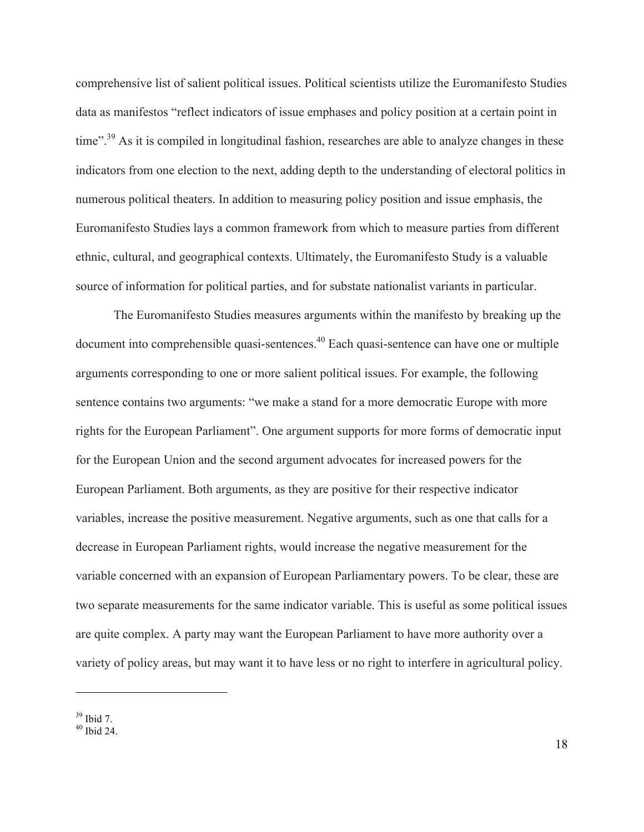comprehensive list of salient political issues. Political scientists utilize the Euromanifesto Studies data as manifestos "reflect indicators of issue emphases and policy position at a certain point in time".<sup>39</sup> As it is compiled in longitudinal fashion, researches are able to analyze changes in these indicators from one election to the next, adding depth to the understanding of electoral politics in numerous political theaters. In addition to measuring policy position and issue emphasis, the Euromanifesto Studies lays a common framework from which to measure parties from different ethnic, cultural, and geographical contexts. Ultimately, the Euromanifesto Study is a valuable source of information for political parties, and for substate nationalist variants in particular.

The Euromanifesto Studies measures arguments within the manifesto by breaking up the document into comprehensible quasi-sentences.40 Each quasi-sentence can have one or multiple arguments corresponding to one or more salient political issues. For example, the following sentence contains two arguments: "we make a stand for a more democratic Europe with more rights for the European Parliament". One argument supports for more forms of democratic input for the European Union and the second argument advocates for increased powers for the European Parliament. Both arguments, as they are positive for their respective indicator variables, increase the positive measurement. Negative arguments, such as one that calls for a decrease in European Parliament rights, would increase the negative measurement for the variable concerned with an expansion of European Parliamentary powers. To be clear, these are two separate measurements for the same indicator variable. This is useful as some political issues are quite complex. A party may want the European Parliament to have more authority over a variety of policy areas, but may want it to have less or no right to interfere in agricultural policy.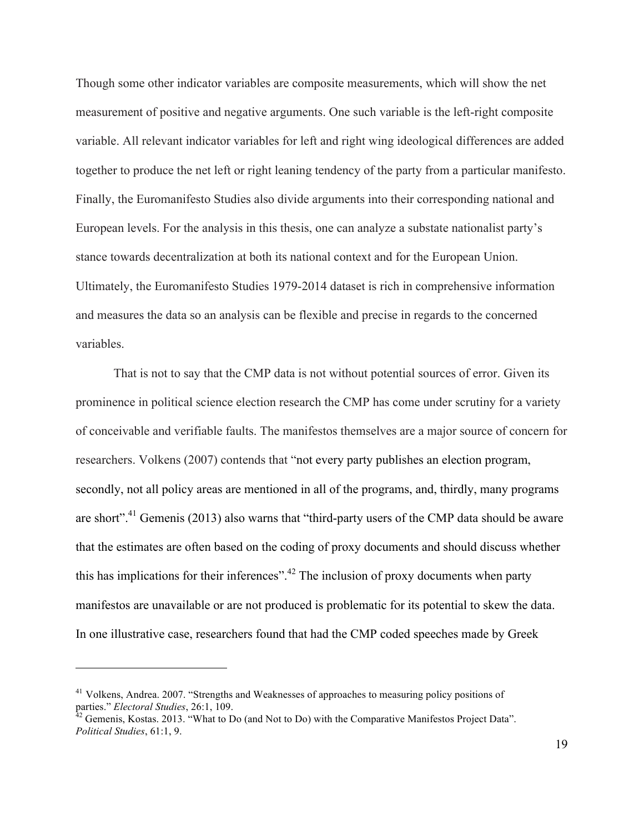Though some other indicator variables are composite measurements, which will show the net measurement of positive and negative arguments. One such variable is the left-right composite variable. All relevant indicator variables for left and right wing ideological differences are added together to produce the net left or right leaning tendency of the party from a particular manifesto. Finally, the Euromanifesto Studies also divide arguments into their corresponding national and European levels. For the analysis in this thesis, one can analyze a substate nationalist party's stance towards decentralization at both its national context and for the European Union. Ultimately, the Euromanifesto Studies 1979-2014 dataset is rich in comprehensive information and measures the data so an analysis can be flexible and precise in regards to the concerned variables.

That is not to say that the CMP data is not without potential sources of error. Given its prominence in political science election research the CMP has come under scrutiny for a variety of conceivable and verifiable faults. The manifestos themselves are a major source of concern for researchers. Volkens (2007) contends that "not every party publishes an election program, secondly, not all policy areas are mentioned in all of the programs, and, thirdly, many programs are short".<sup>41</sup> Gemenis (2013) also warns that "third-party users of the CMP data should be aware that the estimates are often based on the coding of proxy documents and should discuss whether this has implications for their inferences".<sup>42</sup> The inclusion of proxy documents when party manifestos are unavailable or are not produced is problematic for its potential to skew the data. In one illustrative case, researchers found that had the CMP coded speeches made by Greek

<sup>&</sup>lt;sup>41</sup> Volkens, Andrea. 2007. "Strengths and Weaknesses of approaches to measuring policy positions of parties." *Electoral Studies*, 26:1, 109.<br><sup>42</sup> Gemenis, Kostas. 2013. "What to Do (and Not to Do) with the Comparative Manifestos Project Data".

*Political Studies*, 61:1, 9.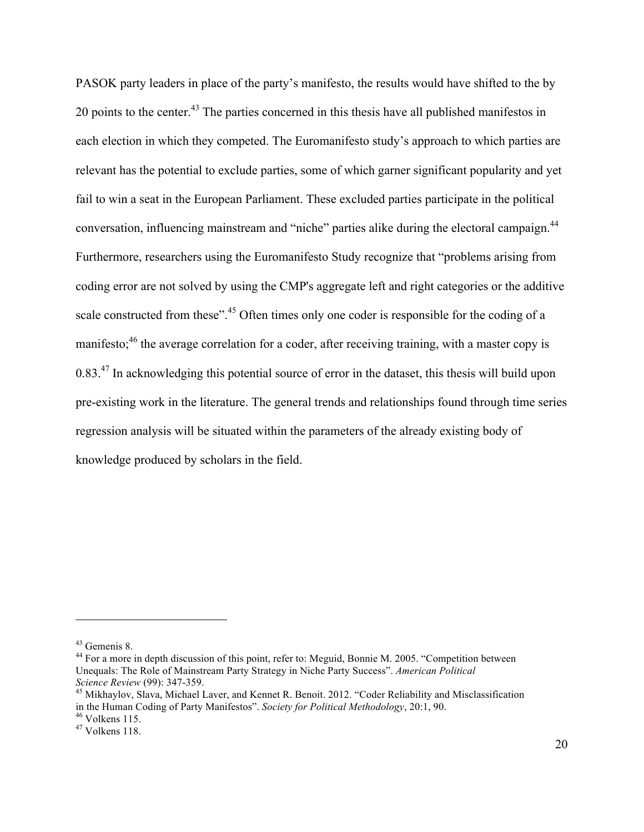PASOK party leaders in place of the party's manifesto, the results would have shifted to the by 20 points to the center.<sup>43</sup> The parties concerned in this thesis have all published manifestos in each election in which they competed. The Euromanifesto study's approach to which parties are relevant has the potential to exclude parties, some of which garner significant popularity and yet fail to win a seat in the European Parliament. These excluded parties participate in the political conversation, influencing mainstream and "niche" parties alike during the electoral campaign.<sup>44</sup> Furthermore, researchers using the Euromanifesto Study recognize that "problems arising from coding error are not solved by using the CMP's aggregate left and right categories or the additive scale constructed from these".<sup>45</sup> Often times only one coder is responsible for the coding of a manifesto;<sup>46</sup> the average correlation for a coder, after receiving training, with a master copy is 0.83.<sup>47</sup> In acknowledging this potential source of error in the dataset, this thesis will build upon pre-existing work in the literature. The general trends and relationships found through time series regression analysis will be situated within the parameters of the already existing body of knowledge produced by scholars in the field.

<sup>&</sup>lt;sup>43</sup> Gemenis 8.<br><sup>44</sup> For a more in depth discussion of this point, refer to: Meguid, Bonnie M. 2005. "Competition between Unequals: The Role of Mainstream Party Strategy in Niche Party Success". *American Political Science Review* (99): 347-359.<br><sup>45</sup> Mikhaylov, Slava, Michael Laver, and Kennet R. Benoit. 2012. "Coder Reliability and Misclassification

in the Human Coding of Party Manifestos". *Society for Political Methodology*, 20:1, 90.<br><sup>46</sup> Volkens 115.<br><sup>47</sup> Volkens 118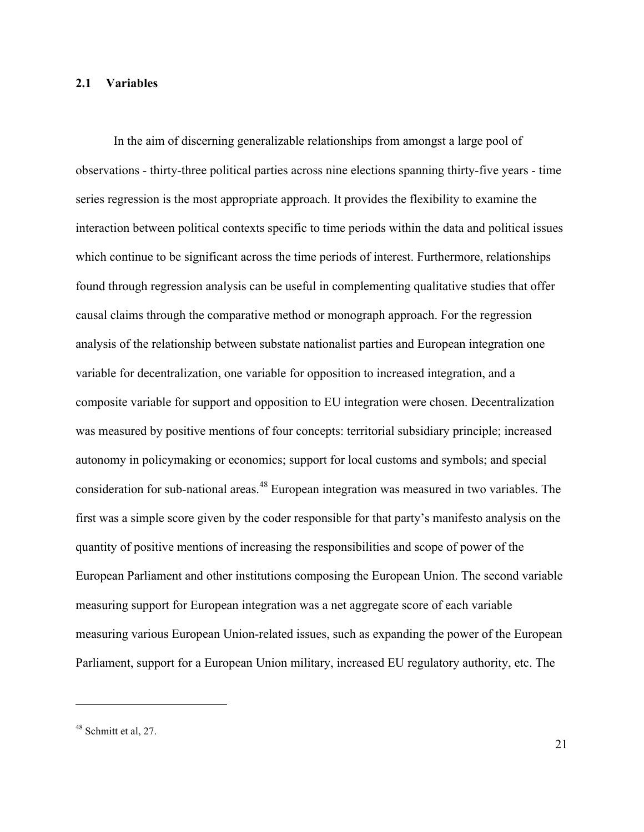#### **2.1 Variables**

In the aim of discerning generalizable relationships from amongst a large pool of observations - thirty-three political parties across nine elections spanning thirty-five years - time series regression is the most appropriate approach. It provides the flexibility to examine the interaction between political contexts specific to time periods within the data and political issues which continue to be significant across the time periods of interest. Furthermore, relationships found through regression analysis can be useful in complementing qualitative studies that offer causal claims through the comparative method or monograph approach. For the regression analysis of the relationship between substate nationalist parties and European integration one variable for decentralization, one variable for opposition to increased integration, and a composite variable for support and opposition to EU integration were chosen. Decentralization was measured by positive mentions of four concepts: territorial subsidiary principle; increased autonomy in policymaking or economics; support for local customs and symbols; and special consideration for sub-national areas.<sup>48</sup> European integration was measured in two variables. The first was a simple score given by the coder responsible for that party's manifesto analysis on the quantity of positive mentions of increasing the responsibilities and scope of power of the European Parliament and other institutions composing the European Union. The second variable measuring support for European integration was a net aggregate score of each variable measuring various European Union-related issues, such as expanding the power of the European Parliament, support for a European Union military, increased EU regulatory authority, etc. The

 $48$  Schmitt et al, 27.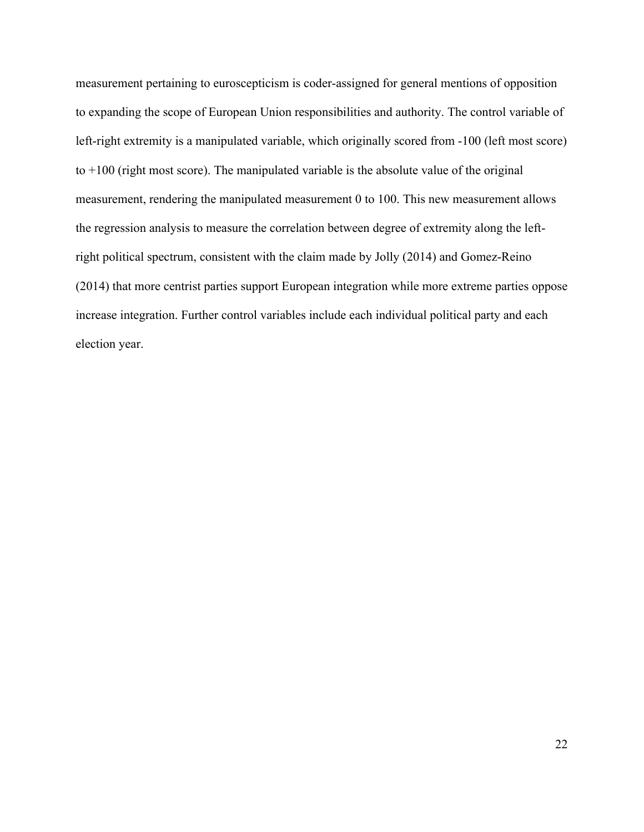measurement pertaining to euroscepticism is coder-assigned for general mentions of opposition to expanding the scope of European Union responsibilities and authority. The control variable of left-right extremity is a manipulated variable, which originally scored from -100 (left most score) to  $+100$  (right most score). The manipulated variable is the absolute value of the original measurement, rendering the manipulated measurement 0 to 100. This new measurement allows the regression analysis to measure the correlation between degree of extremity along the leftright political spectrum, consistent with the claim made by Jolly (2014) and Gomez-Reino (2014) that more centrist parties support European integration while more extreme parties oppose increase integration. Further control variables include each individual political party and each election year.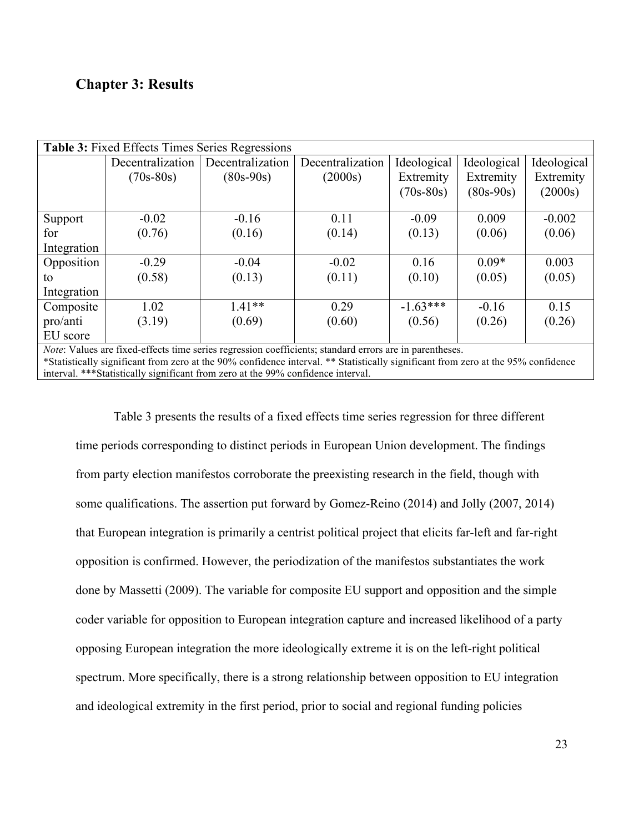# **Chapter 3: Results**

| <b>Table 3:</b> Fixed Effects Times Series Regressions                                                         |                  |                  |                  |             |             |             |
|----------------------------------------------------------------------------------------------------------------|------------------|------------------|------------------|-------------|-------------|-------------|
|                                                                                                                | Decentralization | Decentralization | Decentralization | Ideological | Ideological | Ideological |
|                                                                                                                | $(70s-80s)$      | $(80s-90s)$      | (2000s)          | Extremity   | Extremity   | Extremity   |
|                                                                                                                |                  |                  |                  | $(70s-80s)$ | $(80s-90s)$ | (2000s)     |
|                                                                                                                |                  |                  |                  |             |             |             |
| Support                                                                                                        | $-0.02$          | $-0.16$          | 0.11             | $-0.09$     | 0.009       | $-0.002$    |
| for                                                                                                            | (0.76)           | (0.16)           | (0.14)           | (0.13)      | (0.06)      | (0.06)      |
| Integration                                                                                                    |                  |                  |                  |             |             |             |
| Opposition                                                                                                     | $-0.29$          | $-0.04$          | $-0.02$          | 0.16        | $0.09*$     | 0.003       |
| to                                                                                                             | (0.58)           | (0.13)           | (0.11)           | (0.10)      | (0.05)      | (0.05)      |
| Integration                                                                                                    |                  |                  |                  |             |             |             |
| Composite                                                                                                      | 1.02             | $1.41**$         | 0.29             | $-1.63***$  | $-0.16$     | 0.15        |
| pro/anti                                                                                                       | (3.19)           | (0.69)           | (0.60)           | (0.56)      | (0.26)      | (0.26)      |
| EU score                                                                                                       |                  |                  |                  |             |             |             |
| <i>Note:</i> Values are fixed-effects time series regression coefficients; standard errors are in parentheses. |                  |                  |                  |             |             |             |

\*Statistically significant from zero at the 90% confidence interval. \*\* Statistically significant from zero at the 95% confidence interval. \*\*\*Statistically significant from zero at the 99% confidence interval.

Table 3 presents the results of a fixed effects time series regression for three different time periods corresponding to distinct periods in European Union development. The findings from party election manifestos corroborate the preexisting research in the field, though with some qualifications. The assertion put forward by Gomez-Reino (2014) and Jolly (2007, 2014) that European integration is primarily a centrist political project that elicits far-left and far-right opposition is confirmed. However, the periodization of the manifestos substantiates the work done by Massetti (2009). The variable for composite EU support and opposition and the simple coder variable for opposition to European integration capture and increased likelihood of a party opposing European integration the more ideologically extreme it is on the left-right political spectrum. More specifically, there is a strong relationship between opposition to EU integration and ideological extremity in the first period, prior to social and regional funding policies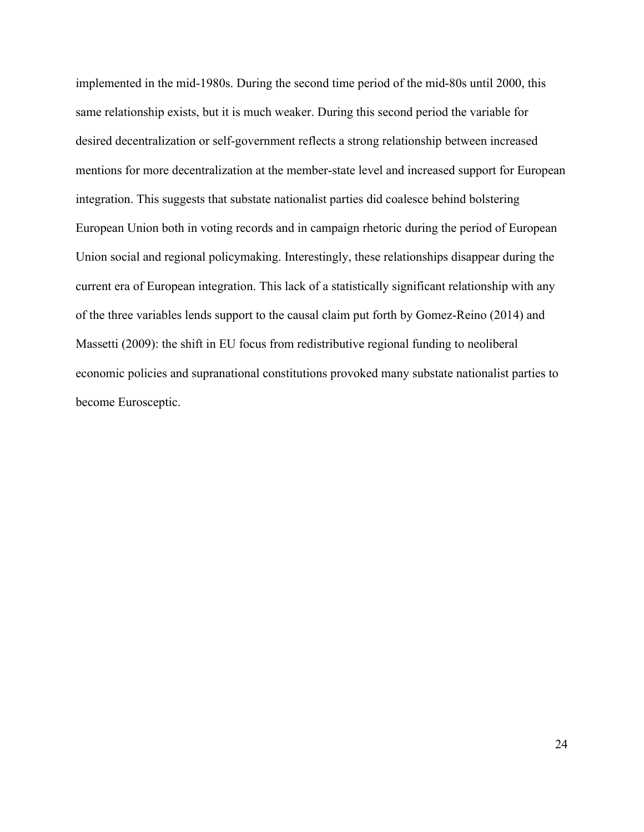implemented in the mid-1980s. During the second time period of the mid-80s until 2000, this same relationship exists, but it is much weaker. During this second period the variable for desired decentralization or self-government reflects a strong relationship between increased mentions for more decentralization at the member-state level and increased support for European integration. This suggests that substate nationalist parties did coalesce behind bolstering European Union both in voting records and in campaign rhetoric during the period of European Union social and regional policymaking. Interestingly, these relationships disappear during the current era of European integration. This lack of a statistically significant relationship with any of the three variables lends support to the causal claim put forth by Gomez-Reino (2014) and Massetti (2009): the shift in EU focus from redistributive regional funding to neoliberal economic policies and supranational constitutions provoked many substate nationalist parties to become Eurosceptic.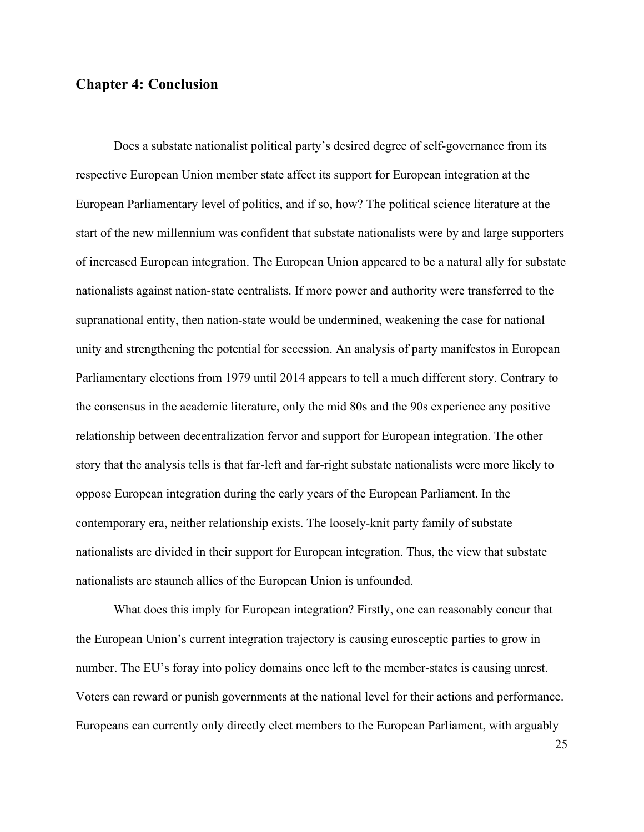### **Chapter 4: Conclusion**

Does a substate nationalist political party's desired degree of self-governance from its respective European Union member state affect its support for European integration at the European Parliamentary level of politics, and if so, how? The political science literature at the start of the new millennium was confident that substate nationalists were by and large supporters of increased European integration. The European Union appeared to be a natural ally for substate nationalists against nation-state centralists. If more power and authority were transferred to the supranational entity, then nation-state would be undermined, weakening the case for national unity and strengthening the potential for secession. An analysis of party manifestos in European Parliamentary elections from 1979 until 2014 appears to tell a much different story. Contrary to the consensus in the academic literature, only the mid 80s and the 90s experience any positive relationship between decentralization fervor and support for European integration. The other story that the analysis tells is that far-left and far-right substate nationalists were more likely to oppose European integration during the early years of the European Parliament. In the contemporary era, neither relationship exists. The loosely-knit party family of substate nationalists are divided in their support for European integration. Thus, the view that substate nationalists are staunch allies of the European Union is unfounded.

What does this imply for European integration? Firstly, one can reasonably concur that the European Union's current integration trajectory is causing eurosceptic parties to grow in number. The EU's foray into policy domains once left to the member-states is causing unrest. Voters can reward or punish governments at the national level for their actions and performance. Europeans can currently only directly elect members to the European Parliament, with arguably

25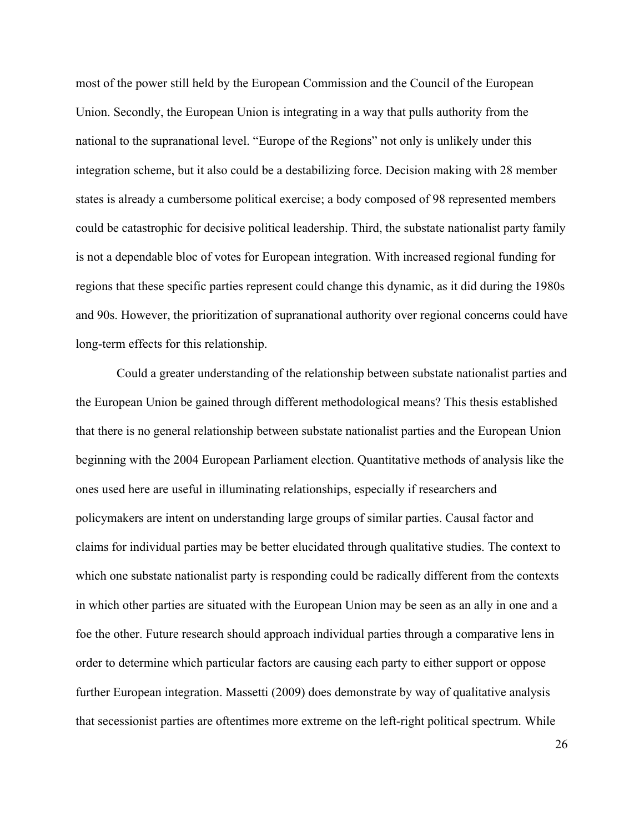most of the power still held by the European Commission and the Council of the European Union. Secondly, the European Union is integrating in a way that pulls authority from the national to the supranational level. "Europe of the Regions" not only is unlikely under this integration scheme, but it also could be a destabilizing force. Decision making with 28 member states is already a cumbersome political exercise; a body composed of 98 represented members could be catastrophic for decisive political leadership. Third, the substate nationalist party family is not a dependable bloc of votes for European integration. With increased regional funding for regions that these specific parties represent could change this dynamic, as it did during the 1980s and 90s. However, the prioritization of supranational authority over regional concerns could have long-term effects for this relationship.

Could a greater understanding of the relationship between substate nationalist parties and the European Union be gained through different methodological means? This thesis established that there is no general relationship between substate nationalist parties and the European Union beginning with the 2004 European Parliament election. Quantitative methods of analysis like the ones used here are useful in illuminating relationships, especially if researchers and policymakers are intent on understanding large groups of similar parties. Causal factor and claims for individual parties may be better elucidated through qualitative studies. The context to which one substate nationalist party is responding could be radically different from the contexts in which other parties are situated with the European Union may be seen as an ally in one and a foe the other. Future research should approach individual parties through a comparative lens in order to determine which particular factors are causing each party to either support or oppose further European integration. Massetti (2009) does demonstrate by way of qualitative analysis that secessionist parties are oftentimes more extreme on the left-right political spectrum. While

26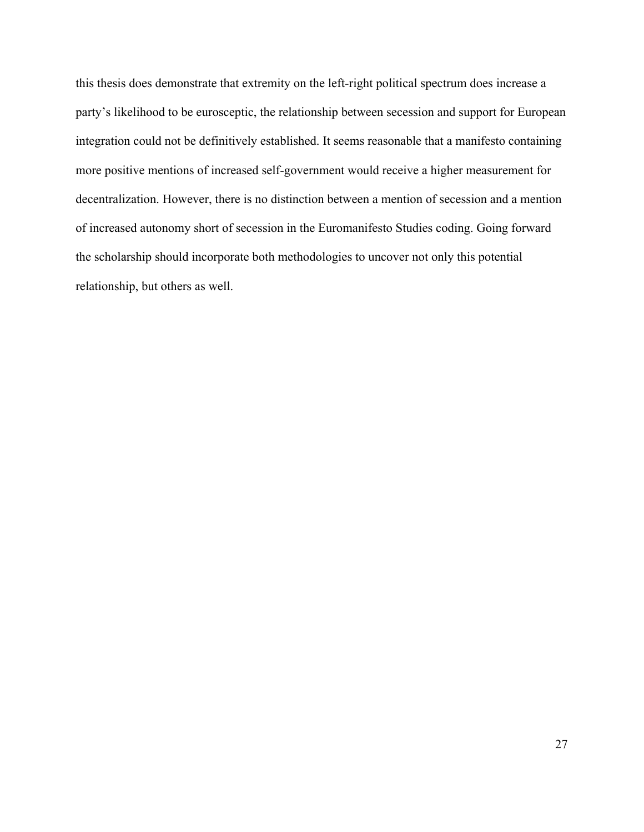this thesis does demonstrate that extremity on the left-right political spectrum does increase a party's likelihood to be eurosceptic, the relationship between secession and support for European integration could not be definitively established. It seems reasonable that a manifesto containing more positive mentions of increased self-government would receive a higher measurement for decentralization. However, there is no distinction between a mention of secession and a mention of increased autonomy short of secession in the Euromanifesto Studies coding. Going forward the scholarship should incorporate both methodologies to uncover not only this potential relationship, but others as well.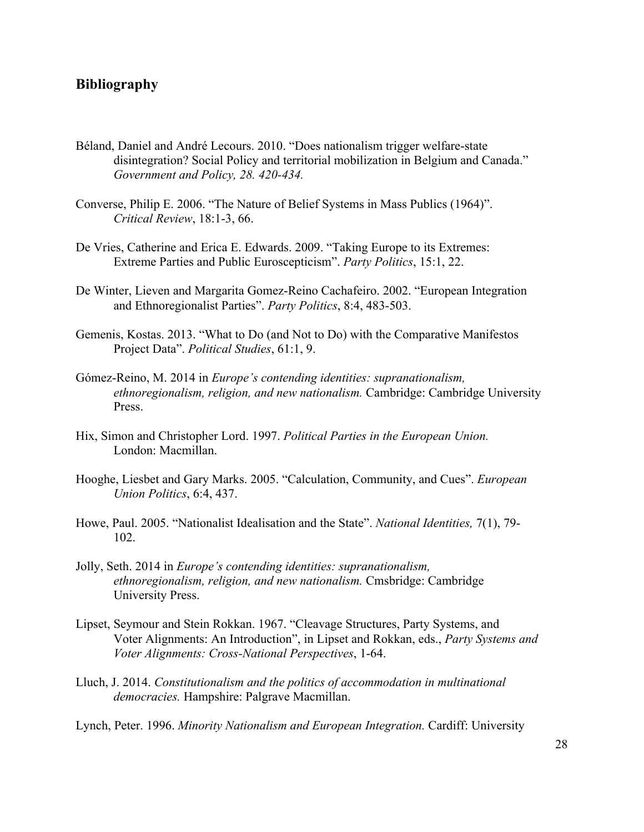## **Bibliography**

- Béland, Daniel and André Lecours. 2010. "Does nationalism trigger welfare-state disintegration? Social Policy and territorial mobilization in Belgium and Canada." *Government and Policy, 28. 420-434.*
- Converse, Philip E. 2006. "The Nature of Belief Systems in Mass Publics (1964)". *Critical Review*, 18:1-3, 66.
- De Vries, Catherine and Erica E. Edwards. 2009. "Taking Europe to its Extremes: Extreme Parties and Public Euroscepticism". *Party Politics*, 15:1, 22.
- De Winter, Lieven and Margarita Gomez-Reino Cachafeiro. 2002. "European Integration and Ethnoregionalist Parties". *Party Politics*, 8:4, 483-503.
- Gemenis, Kostas. 2013. "What to Do (and Not to Do) with the Comparative Manifestos Project Data". *Political Studies*, 61:1, 9.
- Gómez-Reino, M. 2014 in *Europe's contending identities: supranationalism, ethnoregionalism, religion, and new nationalism.* Cambridge: Cambridge University Press.
- Hix, Simon and Christopher Lord. 1997. *Political Parties in the European Union.* London: Macmillan.
- Hooghe, Liesbet and Gary Marks. 2005. "Calculation, Community, and Cues". *European Union Politics*, 6:4, 437.
- Howe, Paul. 2005. "Nationalist Idealisation and the State". *National Identities,* 7(1), 79- 102.
- Jolly, Seth. 2014 in *Europe's contending identities: supranationalism, ethnoregionalism, religion, and new nationalism.* Cmsbridge: Cambridge University Press.
- Lipset, Seymour and Stein Rokkan. 1967. "Cleavage Structures, Party Systems, and Voter Alignments: An Introduction", in Lipset and Rokkan, eds., *Party Systems and Voter Alignments: Cross-National Perspectives*, 1-64.
- Lluch, J. 2014. *Constitutionalism and the politics of accommodation in multinational democracies.* Hampshire: Palgrave Macmillan.

Lynch, Peter. 1996. *Minority Nationalism and European Integration.* Cardiff: University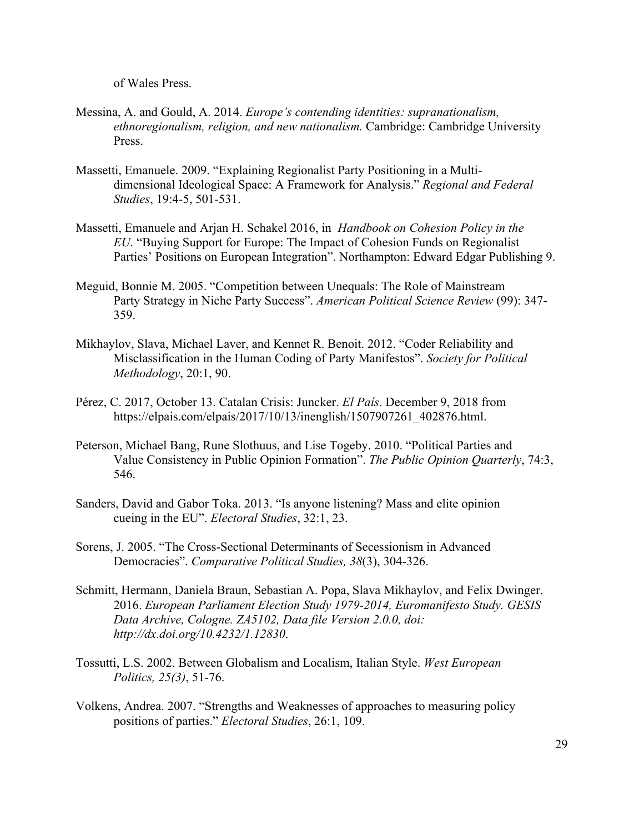of Wales Press.

- Messina, A. and Gould, A. 2014. *Europe's contending identities: supranationalism, ethnoregionalism, religion, and new nationalism.* Cambridge: Cambridge University Press.
- Massetti, Emanuele. 2009. "Explaining Regionalist Party Positioning in a Multidimensional Ideological Space: A Framework for Analysis." *Regional and Federal Studies*, 19:4-5, 501-531.
- Massetti, Emanuele and Arjan H. Schakel 2016, in *Handbook on Cohesion Policy in the EU.* "Buying Support for Europe: The Impact of Cohesion Funds on Regionalist Parties' Positions on European Integration". Northampton: Edward Edgar Publishing 9.
- Meguid, Bonnie M. 2005. "Competition between Unequals: The Role of Mainstream Party Strategy in Niche Party Success". *American Political Science Review* (99): 347- 359.
- Mikhaylov, Slava, Michael Laver, and Kennet R. Benoit. 2012. "Coder Reliability and Misclassification in the Human Coding of Party Manifestos". *Society for Political Methodology*, 20:1, 90.
- Pérez, C. 2017, October 13. Catalan Crisis: Juncker. *El País*. December 9, 2018 from https://elpais.com/elpais/2017/10/13/inenglish/1507907261\_402876.html.
- Peterson, Michael Bang, Rune Slothuus, and Lise Togeby. 2010. "Political Parties and Value Consistency in Public Opinion Formation". *The Public Opinion Quarterly*, 74:3, 546.
- Sanders, David and Gabor Toka. 2013. "Is anyone listening? Mass and elite opinion cueing in the EU". *Electoral Studies*, 32:1, 23.
- Sorens, J. 2005. "The Cross-Sectional Determinants of Secessionism in Advanced Democracies". *Comparative Political Studies, 38*(3), 304-326.
- Schmitt, Hermann, Daniela Braun, Sebastian A. Popa, Slava Mikhaylov, and Felix Dwinger. 2016. *European Parliament Election Study 1979-2014, Euromanifesto Study. GESIS Data Archive, Cologne. ZA5102, Data file Version 2.0.0, doi: http://dx.doi.org/10.4232/1.12830*.
- Tossutti, L.S. 2002. Between Globalism and Localism, Italian Style. *West European Politics, 25(3)*, 51-76.
- Volkens, Andrea. 2007. "Strengths and Weaknesses of approaches to measuring policy positions of parties." *Electoral Studies*, 26:1, 109.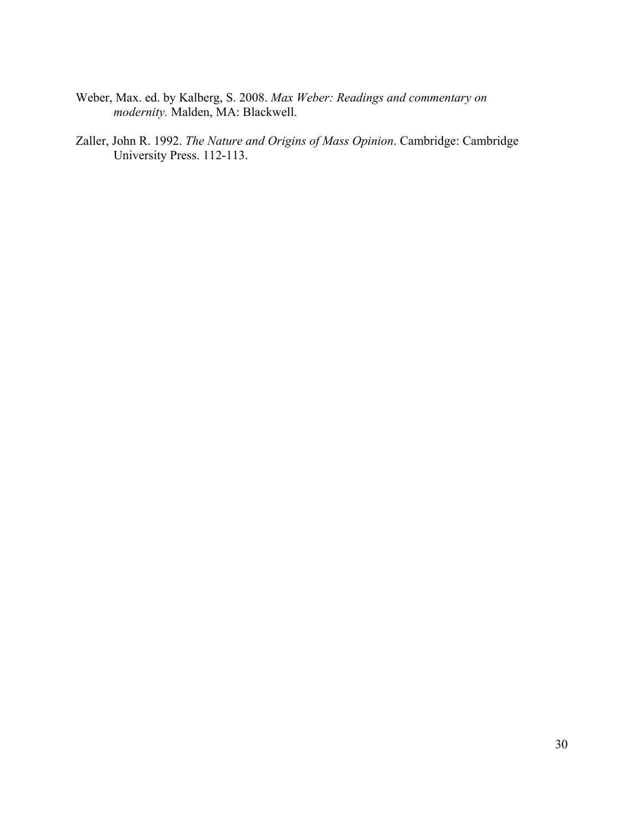- Weber, Max. ed. by Kalberg, S. 2008. *Max Weber: Readings and commentary on modernity.* Malden, MA: Blackwell.
- Zaller, John R. 1992. *The Nature and Origins of Mass Opinion*. Cambridge: Cambridge University Press. 112-113.